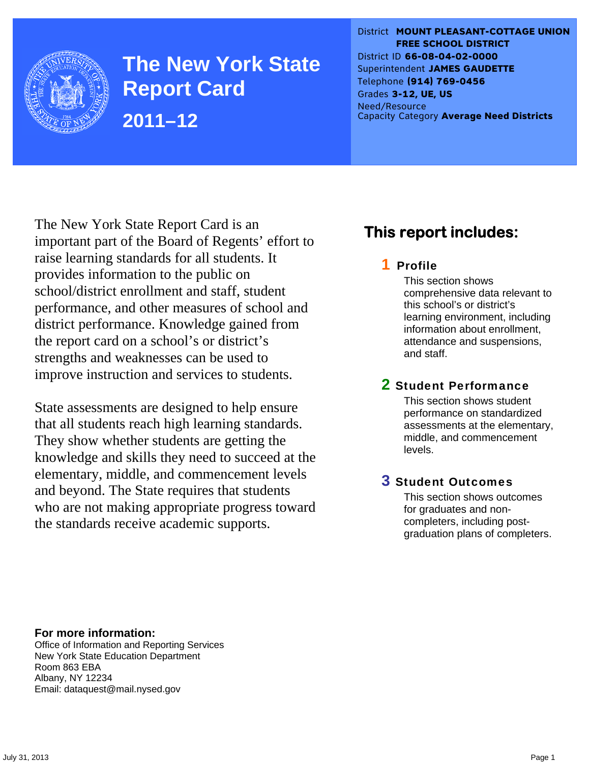

**The New York State Report Card 2011–12** 

District **MOUNT PLEASANT-COTTAGE UNION FREE SCHOOL DISTRICT** District ID **66-08-04-02-0000** Superintendent **JAMES GAUDETTE** Telephone **(914) 769-0456** Grades **3-12, UE, US** Need/Resource Capacity Category **Average Need Districts**

The New York State Report Card is an important part of the Board of Regents' effort to raise learning standards for all students. It provides information to the public on school/district enrollment and staff, student performance, and other measures of school and district performance. Knowledge gained from the report card on a school's or district's strengths and weaknesses can be used to improve instruction and services to students.

State assessments are designed to help ensure that all students reach high learning standards. They show whether students are getting the knowledge and skills they need to succeed at the elementary, middle, and commencement levels and beyond. The State requires that students who are not making appropriate progress toward the standards receive academic supports.

## **This report includes:**

### 1 Profile

This section shows comprehensive data relevant to this school's or district's learning environment, including information about enrollment, attendance and suspensions, and staff.

### 2 Student Performance

This section shows student performance on standardized assessments at the elementary, middle, and commencement levels.

### 3 Student Outcomes

This section shows outcomes for graduates and noncompleters, including postgraduation plans of completers.

**For more information:**  Office of Information and Reporting Services New York State Education Department Room 863 EBA Albany, NY 12234

Email: dataquest@mail.nysed.gov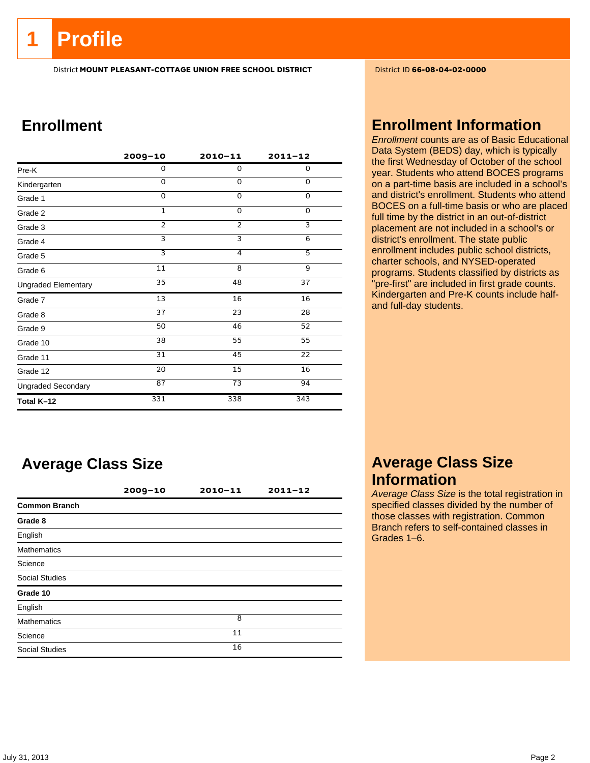## **1 Profile**

District **MOUNT PLEASANT-COTTAGE UNION FREE SCHOOL DISTRICT** District ID **66-08-04-02-0000**

## **Enrollment**

|                            | $2009 - 10$    | $2010 - 11$     | $2011 - 12$ |
|----------------------------|----------------|-----------------|-------------|
| Pre-K                      | 0              | $\mathbf 0$     | 0           |
| Kindergarten               | $\Omega$       | $\Omega$        | 0           |
| Grade 1                    | $\Omega$       | $\Omega$        | 0           |
| Grade 2                    | $\mathbf{1}$   | $\mathbf 0$     | 0           |
| Grade 3                    | $\overline{2}$ | $\overline{2}$  | 3           |
| Grade 4                    | 3              | З               | 6           |
| Grade 5                    | $\overline{3}$ | 4               | 5           |
| Grade 6                    | 11             | 8               | 9           |
| <b>Ungraded Elementary</b> | 35             | 48              | 37          |
| Grade 7                    | 13             | 16              | 16          |
| Grade 8                    | 37             | 23              | 28          |
| Grade 9                    | 50             | 46              | 52          |
| Grade 10                   | 38             | 55              | 55          |
| Grade 11                   | 31             | 45              | 22          |
| Grade 12                   | 20             | 15              | 16          |
| <b>Ungraded Secondary</b>  | 87             | $\overline{73}$ | 94          |
| Total K-12                 | 331            | 338             | 343         |

## **Average Class Size**

|                       | $2009 - 10$ | 2010-11 | $2011 - 12$ |
|-----------------------|-------------|---------|-------------|
| <b>Common Branch</b>  |             |         |             |
| Grade 8               |             |         |             |
| English               |             |         |             |
| <b>Mathematics</b>    |             |         |             |
| Science               |             |         |             |
| <b>Social Studies</b> |             |         |             |
| Grade 10              |             |         |             |
| English               |             |         |             |
| <b>Mathematics</b>    |             | 8       |             |
| Science               |             | 11      |             |
| <b>Social Studies</b> |             | 16      |             |

### **Enrollment Information**

*Enrollment* counts are as of Basic Educational Data System (BEDS) day, which is typically the first Wednesday of October of the school year. Students who attend BOCES programs on a part-time basis are included in a school's and district's enrollment. Students who attend BOCES on a full-time basis or who are placed full time by the district in an out-of-district placement are not included in a school's or district's enrollment. The state public enrollment includes public school districts, charter schools, and NYSED-operated programs. Students classified by districts as "pre-first" are included in first grade counts. Kindergarten and Pre-K counts include halfand full-day students.

### **Average Class Size Information**

*Average Class Size* is the total registration in specified classes divided by the number of those classes with registration. Common Branch refers to self-contained classes in Grades 1–6.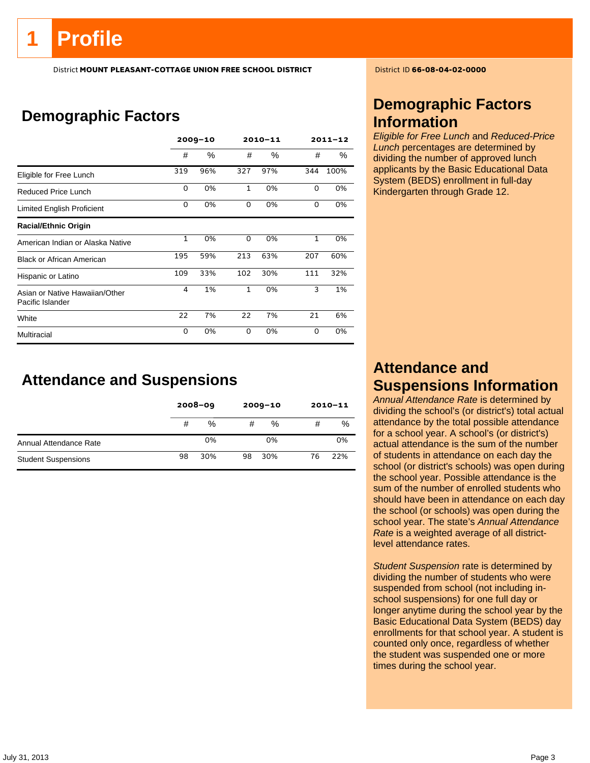# **Profile**

District **MOUNT PLEASANT-COTTAGE UNION FREE SCHOOL DISTRICT** District ID **66-08-04-02-0000**

## **Demographic Factors**

|                                                    |              | $2009 - 10$ |              | $2010 - 11$ |              | $2011 - 12$ |
|----------------------------------------------------|--------------|-------------|--------------|-------------|--------------|-------------|
|                                                    | #            | $\%$        | #            | %           | #            | %           |
| Eligible for Free Lunch                            | 319          | 96%         | 327          | 97%         | 344          | 100%        |
| Reduced Price Lunch                                | $\Omega$     | 0%          | $\mathbf{1}$ | 0%          | 0            | 0%          |
| Limited English Proficient                         | 0            | 0%          | 0            | 0%          | 0            | 0%          |
| <b>Racial/Ethnic Origin</b>                        |              |             |              |             |              |             |
| American Indian or Alaska Native                   | $\mathbf{1}$ | 0%          | 0            | 0%          | $\mathbf{1}$ | 0%          |
| <b>Black or African American</b>                   | 195          | 59%         | 213          | 63%         | 207          | 60%         |
| Hispanic or Latino                                 | 109          | 33%         | 102          | 30%         | 111          | 32%         |
| Asian or Native Hawaiian/Other<br>Pacific Islander | 4            | 1%          | $\mathbf{1}$ | 0%          | 3            | 1%          |
| White                                              | 22           | 7%          | 22           | 7%          | 21           | 6%          |
| Multiracial                                        | 0            | 0%          | 0            | 0%          | $\Omega$     | 0%          |

**Attendance and Suspensions** 

|                            |    | $2008 - 09$ | $2009 - 10$ |      | $2010 - 11$ |     |
|----------------------------|----|-------------|-------------|------|-------------|-----|
|                            | #  | %           | #           | $\%$ | #           | %   |
| Annual Attendance Rate     |    | 0%          |             | 0%   |             | 0%  |
| <b>Student Suspensions</b> | 98 | 30%         | 98          | 30%  | 76          | 22% |

## **Demographic Factors Information**

*Eligible for Free Lunch* and *Reduced-Price Lunch* percentages are determined by dividing the number of approved lunch applicants by the Basic Educational Data System (BEDS) enrollment in full-day Kindergarten through Grade 12.

## **Attendance and Suspensions Information**

*Annual Attendance Rate* is determined by dividing the school's (or district's) total actual attendance by the total possible attendance for a school year. A school's (or district's) actual attendance is the sum of the number of students in attendance on each day the school (or district's schools) was open during the school year. Possible attendance is the sum of the number of enrolled students who should have been in attendance on each day the school (or schools) was open during the school year. The state's *Annual Attendance Rate* is a weighted average of all districtlevel attendance rates.

*Student Suspension* rate is determined by dividing the number of students who were suspended from school (not including inschool suspensions) for one full day or longer anytime during the school year by the Basic Educational Data System (BEDS) day enrollments for that school year. A student is counted only once, regardless of whether the student was suspended one or more times during the school year.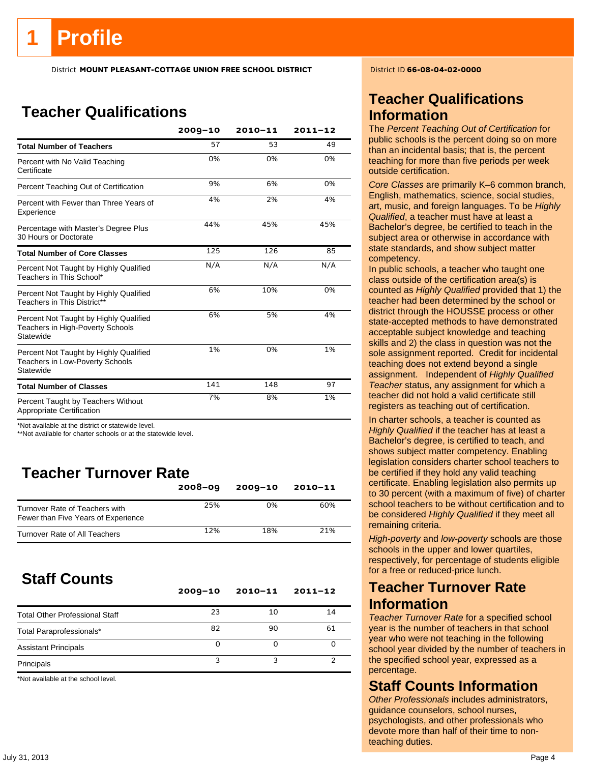## **Teacher Qualifications**

|                                                                                               | $2009 - 10$ | $2010 - 11$ | $2011 - 12$ |
|-----------------------------------------------------------------------------------------------|-------------|-------------|-------------|
| <b>Total Number of Teachers</b>                                                               | 57          | 53          | 49          |
| Percent with No Valid Teaching<br>Certificate                                                 | 0%          | 0%          | 0%          |
| Percent Teaching Out of Certification                                                         | 9%          | 6%          | 0%          |
| Percent with Fewer than Three Years of<br>Experience                                          | 4%          | 2%          | 4%          |
| Percentage with Master's Degree Plus<br>30 Hours or Doctorate                                 | 44%         | 45%         | 45%         |
| <b>Total Number of Core Classes</b>                                                           | 125         | 126         | 85          |
| Percent Not Taught by Highly Qualified<br>Teachers in This School*                            | N/A         | N/A         | N/A         |
| Percent Not Taught by Highly Qualified<br>Teachers in This District**                         | 6%          | 10%         | 0%          |
| Percent Not Taught by Highly Qualified<br>Teachers in High-Poverty Schools<br>Statewide       | 6%          | 5%          | 4%          |
| Percent Not Taught by Highly Qualified<br><b>Teachers in Low-Poverty Schools</b><br>Statewide | 1%          | 0%          | 1%          |
| <b>Total Number of Classes</b>                                                                | 141         | 148         | 97          |
| Percent Taught by Teachers Without<br>Appropriate Certification                               | 7%          | 8%          | 1%          |

\*Not available at the district or statewide level.

\*\*Not available for charter schools or at the statewide level.

## **Teacher Turnover Rate**

|                                                                       | $2008 - 09$ | $2009 - 10$ | $2010 - 11$ |
|-----------------------------------------------------------------------|-------------|-------------|-------------|
| Turnover Rate of Teachers with<br>Fewer than Five Years of Experience | 25%         | 0%          | 60%         |
| Turnover Rate of All Teachers                                         | 12%         | 18%         | 21%         |

## **Staff Counts**

|                                       | $2009 - 10$ | $2010 - 11$ | $2011 - 12$ |
|---------------------------------------|-------------|-------------|-------------|
| <b>Total Other Professional Staff</b> | 23          | 10          | 14          |
| Total Paraprofessionals*              | 82          | 90          | 61          |
| <b>Assistant Principals</b>           | Ω           |             |             |
| Principals                            |             |             |             |

\*Not available at the school level.

## **Teacher Qualifications Information**

The *Percent Teaching Out of Certification* for public schools is the percent doing so on more than an incidental basis; that is, the percent teaching for more than five periods per week outside certification.

*Core Classes* are primarily K–6 common branch, English, mathematics, science, social studies, art, music, and foreign languages. To be *Highly Qualified*, a teacher must have at least a Bachelor's degree, be certified to teach in the subject area or otherwise in accordance with state standards, and show subject matter competency.

In public schools, a teacher who taught one class outside of the certification area(s) is counted as *Highly Qualified* provided that 1) the teacher had been determined by the school or district through the HOUSSE process or other state-accepted methods to have demonstrated acceptable subject knowledge and teaching skills and 2) the class in question was not the sole assignment reported. Credit for incidental teaching does not extend beyond a single assignment. Independent of *Highly Qualified Teacher* status, any assignment for which a teacher did not hold a valid certificate still registers as teaching out of certification.

In charter schools, a teacher is counted as *Highly Qualified* if the teacher has at least a Bachelor's degree, is certified to teach, and shows subject matter competency. Enabling legislation considers charter school teachers to be certified if they hold any valid teaching certificate. Enabling legislation also permits up to 30 percent (with a maximum of five) of charter school teachers to be without certification and to be considered *Highly Qualified* if they meet all remaining criteria.

*High-poverty* and *low-poverty* schools are those schools in the upper and lower quartiles, respectively, for percentage of students eligible for a free or reduced-price lunch.

### **Teacher Turnover Rate Information**

*Teacher Turnover Rate* for a specified school year is the number of teachers in that school year who were not teaching in the following school year divided by the number of teachers in the specified school year, expressed as a percentage.

### **Staff Counts Information**

*Other Professionals* includes administrators, guidance counselors, school nurses, psychologists, and other professionals who devote more than half of their time to nonteaching duties.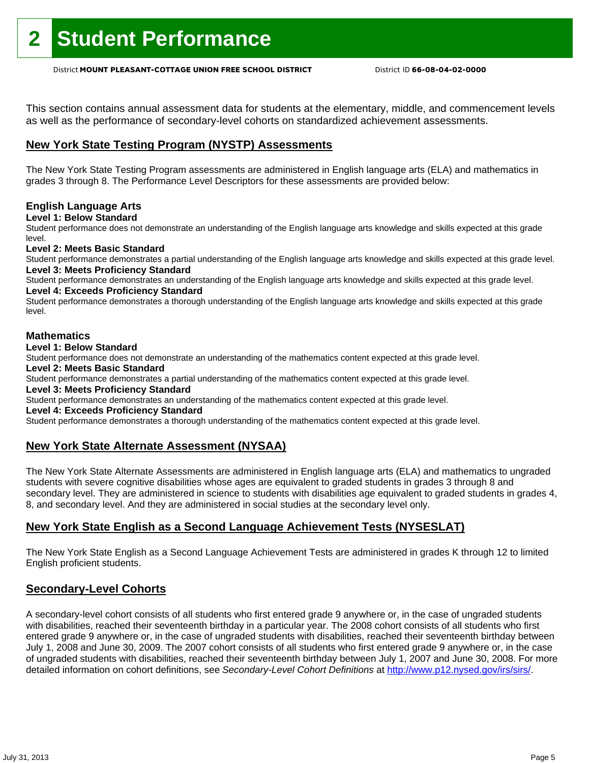This section contains annual assessment data for students at the elementary, middle, and commencement levels as well as the performance of secondary-level cohorts on standardized achievement assessments.

### **New York State Testing Program (NYSTP) Assessments**

The New York State Testing Program assessments are administered in English language arts (ELA) and mathematics in grades 3 through 8. The Performance Level Descriptors for these assessments are provided below:

#### **English Language Arts**

**Level 1: Below Standard** 

Student performance does not demonstrate an understanding of the English language arts knowledge and skills expected at this grade level.

#### **Level 2: Meets Basic Standard**

Student performance demonstrates a partial understanding of the English language arts knowledge and skills expected at this grade level. **Level 3: Meets Proficiency Standard** 

Student performance demonstrates an understanding of the English language arts knowledge and skills expected at this grade level. **Level 4: Exceeds Proficiency Standard** 

Student performance demonstrates a thorough understanding of the English language arts knowledge and skills expected at this grade level.

#### **Mathematics**

#### **Level 1: Below Standard**

Student performance does not demonstrate an understanding of the mathematics content expected at this grade level.

#### **Level 2: Meets Basic Standard**

Student performance demonstrates a partial understanding of the mathematics content expected at this grade level.

#### **Level 3: Meets Proficiency Standard**

Student performance demonstrates an understanding of the mathematics content expected at this grade level.

#### **Level 4: Exceeds Proficiency Standard**

Student performance demonstrates a thorough understanding of the mathematics content expected at this grade level.

### **New York State Alternate Assessment (NYSAA)**

The New York State Alternate Assessments are administered in English language arts (ELA) and mathematics to ungraded students with severe cognitive disabilities whose ages are equivalent to graded students in grades 3 through 8 and secondary level. They are administered in science to students with disabilities age equivalent to graded students in grades 4, 8, and secondary level. And they are administered in social studies at the secondary level only.

#### **New York State English as a Second Language Achievement Tests (NYSESLAT)**

The New York State English as a Second Language Achievement Tests are administered in grades K through 12 to limited English proficient students.

#### **Secondary-Level Cohorts**

A secondary-level cohort consists of all students who first entered grade 9 anywhere or, in the case of ungraded students with disabilities, reached their seventeenth birthday in a particular year. The 2008 cohort consists of all students who first entered grade 9 anywhere or, in the case of ungraded students with disabilities, reached their seventeenth birthday between July 1, 2008 and June 30, 2009. The 2007 cohort consists of all students who first entered grade 9 anywhere or, in the case of ungraded students with disabilities, reached their seventeenth birthday between July 1, 2007 and June 30, 2008. For more detailed information on cohort definitions, see *Secondary-Level Cohort Definitions* at http://www.p12.nysed.gov/irs/sirs/.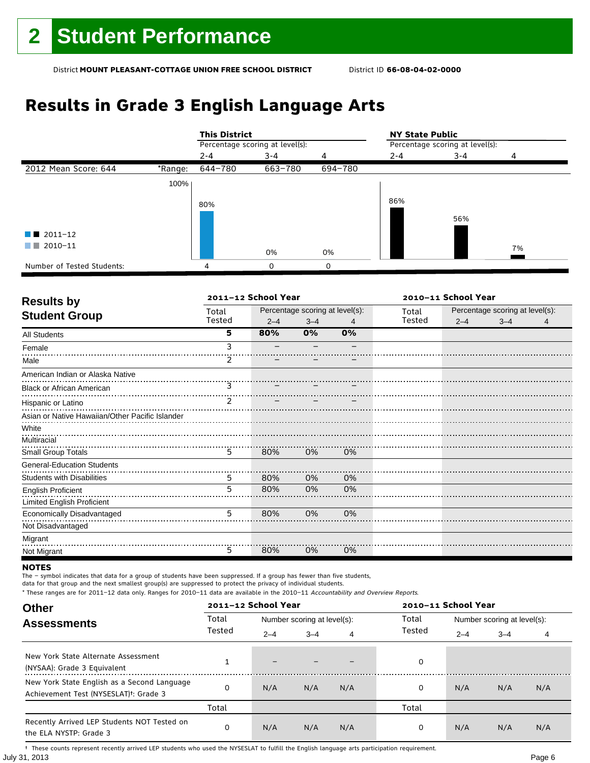## **Results in Grade 3 English Language Arts**

|                            |         | <b>This District</b> |                                 |         | <b>NY State Public</b> |                                 |    |  |
|----------------------------|---------|----------------------|---------------------------------|---------|------------------------|---------------------------------|----|--|
|                            |         |                      | Percentage scoring at level(s): |         |                        | Percentage scoring at level(s): |    |  |
|                            |         | $2 - 4$              | $3 - 4$                         | 4       | $2 - 4$                | $3 - 4$                         | Δ  |  |
| 2012 Mean Score: 644       | *Range: | 644-780              | 663-780                         | 694-780 |                        |                                 |    |  |
|                            | 100%    |                      |                                 |         |                        |                                 |    |  |
|                            |         | 80%                  |                                 |         | 86%                    |                                 |    |  |
|                            |         |                      |                                 |         |                        | 56%                             |    |  |
| $\blacksquare$ 2011-12     |         |                      |                                 |         |                        |                                 |    |  |
| 2010-11<br>a sa Tan        |         |                      | 0%                              | 0%      |                        |                                 | 7% |  |
| Number of Tested Students: |         | 4                    | 0                               | 0       |                        |                                 |    |  |

| <b>Results by</b>                               | 2011-12 School Year |         |                                 |    | 2010-11 School Year |                                 |         |   |
|-------------------------------------------------|---------------------|---------|---------------------------------|----|---------------------|---------------------------------|---------|---|
| <b>Student Group</b>                            | Total               |         | Percentage scoring at level(s): |    | Total               | Percentage scoring at level(s): |         |   |
|                                                 | Tested              | $2 - 4$ | $3 - 4$                         | 4  | Tested              | $2 - 4$                         | $3 - 4$ | 4 |
| <b>All Students</b>                             | 5                   | 80%     | 0%                              | 0% |                     |                                 |         |   |
| Female                                          | ٩                   |         |                                 |    |                     |                                 |         |   |
| Male                                            | 2                   |         |                                 |    |                     |                                 |         |   |
| American Indian or Alaska Native                |                     |         |                                 |    |                     |                                 |         |   |
| <b>Black or African American</b>                | 3                   |         |                                 |    |                     |                                 |         |   |
| Hispanic or Latino                              | 2                   |         |                                 |    |                     |                                 |         |   |
| Asian or Native Hawaiian/Other Pacific Islander |                     |         |                                 |    |                     |                                 |         |   |
| White                                           |                     |         |                                 |    |                     |                                 |         |   |
| Multiracial                                     |                     |         |                                 |    |                     |                                 |         |   |
| Small Group Totals                              | 5                   | 80%     | 0%                              | 0% |                     |                                 |         |   |
| <b>General-Education Students</b>               |                     |         |                                 |    |                     |                                 |         |   |
| <b>Students with Disabilities</b>               | 5                   | 80%     | 0%                              | 0% |                     |                                 |         |   |
| <b>English Proficient</b>                       | 5                   | 80%     | 0%                              | 0% |                     |                                 |         |   |
| Limited English Proficient                      |                     |         |                                 |    |                     |                                 |         |   |
| Economically Disadvantaged                      | 5                   | 80%     | 0%                              | 0% |                     |                                 |         |   |
| Not Disadvantaged                               |                     |         |                                 |    |                     |                                 |         |   |
| Migrant                                         |                     |         |                                 |    |                     |                                 |         |   |
| Not Migrant                                     | 5                   | 80%     | 0%                              | 0% |                     |                                 |         |   |

#### **NOTES**

The – symbol indicates that data for a group of students have been suppressed. If a group has fewer than five students,

data for that group and the next smallest group(s) are suppressed to protect the privacy of individual students.

\* These ranges are for 2011–12 data only. Ranges for 2010–11 data are available in the 2010–11 Accountability and Overview Reports.

| <b>Other</b>                                                                                      |        | 2011-12 School Year      |                             |     | 2010-11 School Year |                             |         |     |
|---------------------------------------------------------------------------------------------------|--------|--------------------------|-----------------------------|-----|---------------------|-----------------------------|---------|-----|
| <b>Assessments</b>                                                                                | Total  |                          | Number scoring at level(s): |     | Total               | Number scoring at level(s): |         |     |
|                                                                                                   | Tested | $2 - 4$                  | $3 - 4$                     | 4   | Tested              | $2 - 4$                     | $3 - 4$ | 4   |
| New York State Alternate Assessment<br>(NYSAA): Grade 3 Equivalent                                |        | $\overline{\phantom{0}}$ |                             |     | 0                   |                             |         |     |
| New York State English as a Second Language<br>Achievement Test (NYSESLAT) <sup>+</sup> : Grade 3 |        | N/A                      | N/A                         | N/A | 0                   | N/A                         | N/A     | N/A |
|                                                                                                   | Total  |                          |                             |     | Total               |                             |         |     |
| Recently Arrived LEP Students NOT Tested on<br>the ELA NYSTP: Grade 3                             |        | N/A                      | N/A                         | N/A | 0                   | N/A                         | N/A     | N/A |

July 31, 2013 Page 6 † These counts represent recently arrived LEP students who used the NYSESLAT to fulfill the English language arts participation requirement.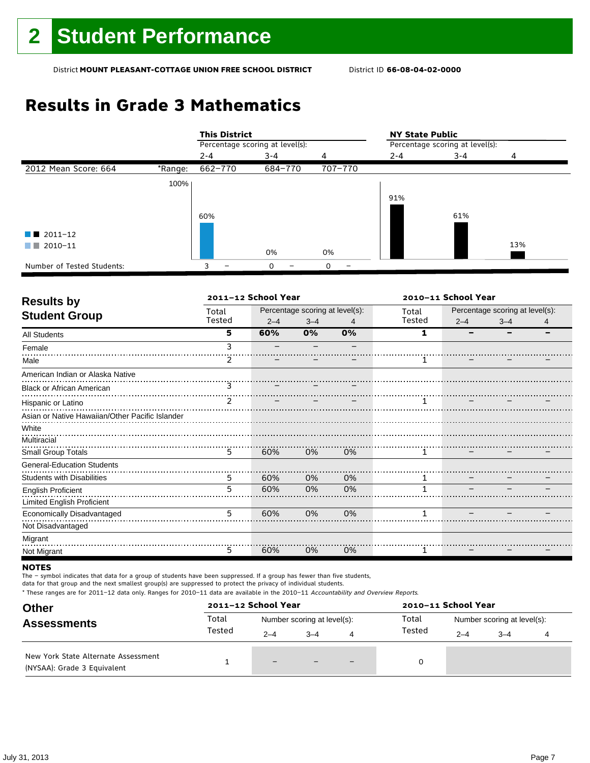## **Results in Grade 3 Mathematics**

|                            |         | <b>This District</b>            |         |         | <b>NY State Public</b>          |         |     |
|----------------------------|---------|---------------------------------|---------|---------|---------------------------------|---------|-----|
|                            |         | Percentage scoring at level(s): |         |         | Percentage scoring at level(s): |         |     |
|                            |         | $2 - 4$                         | $3 - 4$ | 4       | $2 - 4$                         | $3 - 4$ | 4   |
| 2012 Mean Score: 664       | *Range: | 662-770                         | 684-770 | 707-770 |                                 |         |     |
|                            | 100%    |                                 |         |         |                                 |         |     |
|                            |         |                                 |         |         | 91%                             |         |     |
|                            |         | 60%                             |         |         |                                 | 61%     |     |
| $\blacksquare$ 2011-12     |         |                                 |         |         |                                 |         |     |
| 2010-11<br>a sa na         |         |                                 | 0%      | 0%      |                                 |         | 13% |
| Number of Tested Students: |         | 3                               | 0       | 0       |                                 |         |     |

| <b>Results by</b>                               |               | 2011-12 School Year |                                 |    | 2010-11 School Year |                                 |         |   |
|-------------------------------------------------|---------------|---------------------|---------------------------------|----|---------------------|---------------------------------|---------|---|
| <b>Student Group</b>                            | Total         |                     | Percentage scoring at level(s): |    | Total               | Percentage scoring at level(s): |         |   |
|                                                 | Tested        | $2 - 4$             | $3 - 4$                         | 4  | Tested              | $2 - 4$                         | $3 - 4$ | 4 |
| <b>All Students</b>                             | 5             | 60%                 | 0%                              | 0% | 1                   |                                 |         |   |
| Female                                          | 3             |                     |                                 |    |                     |                                 |         |   |
| Male                                            | 2             |                     |                                 |    |                     |                                 |         |   |
| American Indian or Alaska Native                |               |                     |                                 |    |                     |                                 |         |   |
| <b>Black or African American</b>                | 3             |                     |                                 |    |                     |                                 |         |   |
| Hispanic or Latino                              | $\mathcal{P}$ |                     |                                 |    | 1                   |                                 |         |   |
| Asian or Native Hawaiian/Other Pacific Islander |               |                     |                                 |    |                     |                                 |         |   |
| White                                           |               |                     |                                 |    |                     |                                 |         |   |
| Multiracial                                     |               |                     |                                 |    |                     |                                 |         |   |
| <b>Small Group Totals</b>                       | 5             | 60%                 | 0%                              | 0% |                     |                                 |         |   |
| <b>General-Education Students</b>               |               |                     |                                 |    |                     |                                 |         |   |
| <b>Students with Disabilities</b>               | 5             | 60%                 | 0%                              | 0% | 1                   |                                 |         |   |
| <b>English Proficient</b>                       | 5             | 60%                 | 0%                              | 0% |                     |                                 |         |   |
| <b>Limited English Proficient</b>               |               |                     |                                 |    |                     |                                 |         |   |
| Economically Disadvantaged                      | 5             | 60%                 | 0%                              | 0% | 1                   |                                 |         |   |
| Not Disadvantaged                               |               |                     |                                 |    |                     |                                 |         |   |
| Migrant                                         |               |                     |                                 |    |                     |                                 |         |   |
| Not Migrant                                     | 5             | 60%                 | 0%                              | 0% |                     |                                 |         |   |

#### **NOTES**

The – symbol indicates that data for a group of students have been suppressed. If a group has fewer than five students,

data for that group and the next smallest group(s) are suppressed to protect the privacy of individual students.

| <b>Other</b>                                                       | 2011-12 School Year |                             |         |   | 2010-11 School Year |                             |         |  |
|--------------------------------------------------------------------|---------------------|-----------------------------|---------|---|---------------------|-----------------------------|---------|--|
| <b>Assessments</b>                                                 | Total               | Number scoring at level(s): |         |   | Total               | Number scoring at level(s): |         |  |
|                                                                    | Tested              | $2 - 4$                     | $3 - 4$ | 4 | Tested              | $2 - 4$                     | $3 - 4$ |  |
| New York State Alternate Assessment<br>(NYSAA): Grade 3 Equivalent |                     | $-$                         |         |   | 0                   |                             |         |  |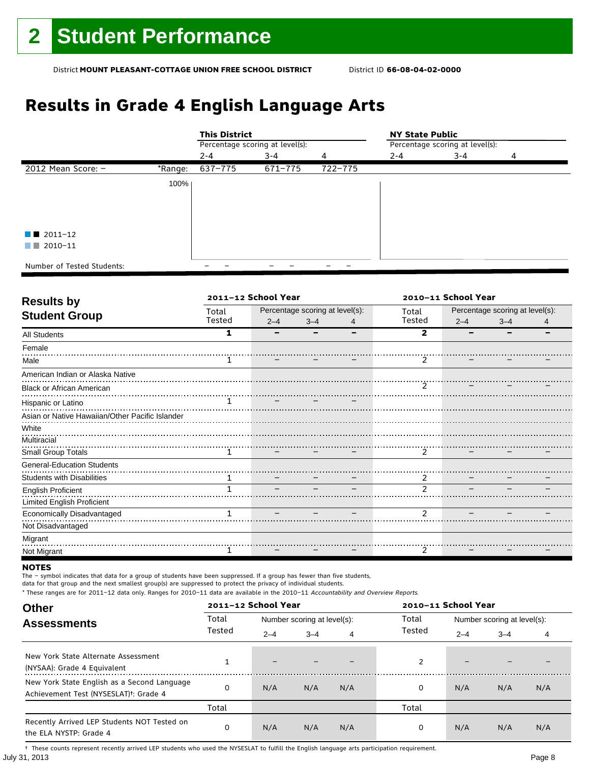## **Results in Grade 4 English Language Arts**

|                            |         | <b>This District</b>            |         |         | <b>NY State Public</b>          |         |   |  |
|----------------------------|---------|---------------------------------|---------|---------|---------------------------------|---------|---|--|
|                            |         | Percentage scoring at level(s): |         |         | Percentage scoring at level(s): |         |   |  |
|                            |         | $2 - 4$                         | $3 - 4$ | 4       | $2 - 4$                         | $3 - 4$ | 4 |  |
| 2012 Mean Score: -         | *Range: | 637-775                         | 671-775 | 722-775 |                                 |         |   |  |
|                            | 100%    |                                 |         |         |                                 |         |   |  |
|                            |         |                                 |         |         |                                 |         |   |  |
|                            |         |                                 |         |         |                                 |         |   |  |
| $\blacksquare$ 2011-12     |         |                                 |         |         |                                 |         |   |  |
| $\Box$ 2010-11             |         |                                 |         |         |                                 |         |   |  |
| Number of Tested Students: |         |                                 |         |         |                                 |         |   |  |

| <b>Results by</b>                               |        | 2011-12 School Year |                                 |   | 2010-11 School Year |                                 |         |  |
|-------------------------------------------------|--------|---------------------|---------------------------------|---|---------------------|---------------------------------|---------|--|
|                                                 | Total  |                     | Percentage scoring at level(s): |   | Total               | Percentage scoring at level(s): |         |  |
| <b>Student Group</b>                            | Tested | $2 - 4$             | $3 - 4$                         | 4 | Tested              | $2 - 4$                         | $3 - 4$ |  |
| <b>All Students</b>                             | 1      |                     |                                 |   | $\mathbf{2}$        |                                 |         |  |
| Female                                          |        |                     |                                 |   |                     |                                 |         |  |
| Male                                            |        |                     |                                 |   | 2                   |                                 |         |  |
| American Indian or Alaska Native                |        |                     |                                 |   |                     |                                 |         |  |
| <b>Black or African American</b>                |        |                     |                                 |   | <u></u>             |                                 |         |  |
| Hispanic or Latino                              |        |                     |                                 |   |                     |                                 |         |  |
| Asian or Native Hawaiian/Other Pacific Islander |        |                     |                                 |   |                     |                                 |         |  |
| White                                           |        |                     |                                 |   |                     |                                 |         |  |
| Multiracial                                     |        |                     |                                 |   |                     |                                 |         |  |
| Small Group Totals                              | 1      |                     |                                 |   | $\mathcal{P}$       |                                 |         |  |
| <b>General-Education Students</b>               |        |                     |                                 |   |                     |                                 |         |  |
| <b>Students with Disabilities</b>               | 1      |                     |                                 |   | 2                   |                                 |         |  |
| <b>English Proficient</b>                       |        |                     |                                 |   | $\mathcal{D}$       |                                 |         |  |
| <b>Limited English Proficient</b>               |        |                     |                                 |   |                     |                                 |         |  |
| Economically Disadvantaged                      |        |                     |                                 |   | $\mathcal{P}$       |                                 |         |  |
| Not Disadvantaged                               |        |                     |                                 |   |                     |                                 |         |  |
| Migrant                                         |        |                     |                                 |   |                     |                                 |         |  |
| Not Migrant                                     |        |                     |                                 |   | 2                   |                                 |         |  |

#### **NOTES**

The – symbol indicates that data for a group of students have been suppressed. If a group has fewer than five students,

data for that group and the next smallest group(s) are suppressed to protect the privacy of individual students.

\* These ranges are for 2011–12 data only. Ranges for 2010–11 data are available in the 2010–11 Accountability and Overview Reports.

| <b>Other</b>                                                                                      |        | 2011-12 School Year      |                             |     | 2010-11 School Year |         |                             |     |  |
|---------------------------------------------------------------------------------------------------|--------|--------------------------|-----------------------------|-----|---------------------|---------|-----------------------------|-----|--|
| <b>Assessments</b>                                                                                | Total  |                          | Number scoring at level(s): |     |                     |         | Number scoring at level(s): |     |  |
|                                                                                                   | Tested | $2 - 4$                  | $3 - 4$                     | 4   | Tested              | $2 - 4$ | $3 - 4$                     | 4   |  |
| New York State Alternate Assessment<br>(NYSAA): Grade 4 Equivalent                                |        | $\overline{\phantom{0}}$ |                             |     | 2                   | -       |                             |     |  |
| New York State English as a Second Language<br>Achievement Test (NYSESLAT) <sup>†</sup> : Grade 4 | O      | N/A                      | N/A                         | N/A | 0                   | N/A     | N/A                         | N/A |  |
|                                                                                                   | Total  |                          |                             |     | Total               |         |                             |     |  |
| Recently Arrived LEP Students NOT Tested on<br>the ELA NYSTP: Grade 4                             | 0      | N/A                      | N/A                         | N/A | 0                   | N/A     | N/A                         | N/A |  |

July 31, 2013 Page 8 † These counts represent recently arrived LEP students who used the NYSESLAT to fulfill the English language arts participation requirement.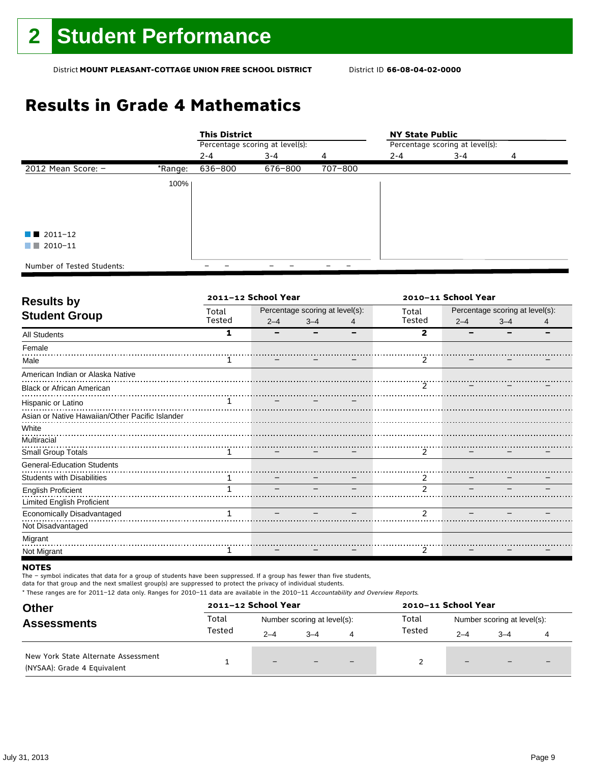## **Results in Grade 4 Mathematics**

|                            |         | <b>This District</b>            |         |         | <b>NY State Public</b>          |         |   |  |  |
|----------------------------|---------|---------------------------------|---------|---------|---------------------------------|---------|---|--|--|
|                            |         | Percentage scoring at level(s): |         |         | Percentage scoring at level(s): |         |   |  |  |
|                            |         | $2 - 4$                         | $3 - 4$ | 4       | $2 - 4$                         | $3 - 4$ | 4 |  |  |
| 2012 Mean Score: -         | *Range: | 636-800                         | 676-800 | 707-800 |                                 |         |   |  |  |
|                            | 100%    |                                 |         |         |                                 |         |   |  |  |
|                            |         |                                 |         |         |                                 |         |   |  |  |
|                            |         |                                 |         |         |                                 |         |   |  |  |
|                            |         |                                 |         |         |                                 |         |   |  |  |
| $\blacksquare$ 2011-12     |         |                                 |         |         |                                 |         |   |  |  |
| 2010-11<br>a na            |         |                                 |         |         |                                 |         |   |  |  |
|                            |         |                                 |         |         |                                 |         |   |  |  |
| Number of Tested Students: |         |                                 |         |         |                                 |         |   |  |  |

| <b>Results by</b>                               |        | 2011-12 School Year |                                 |   | 2010-11 School Year        |         |                                 |  |
|-------------------------------------------------|--------|---------------------|---------------------------------|---|----------------------------|---------|---------------------------------|--|
|                                                 | Total  |                     | Percentage scoring at level(s): |   | Total                      |         | Percentage scoring at level(s): |  |
| <b>Student Group</b>                            | Tested | $2 - 4$             | $3 - 4$                         | 4 | Tested                     | $2 - 4$ | $3 - 4$                         |  |
| <b>All Students</b>                             | 1      |                     |                                 |   | $\mathbf{2}$               |         |                                 |  |
| Female                                          |        |                     |                                 |   |                            |         |                                 |  |
| Male                                            |        |                     |                                 |   | 2                          |         |                                 |  |
| American Indian or Alaska Native                |        |                     |                                 |   |                            |         |                                 |  |
| <b>Black or African American</b>                |        |                     |                                 |   | $\cdots$ $\cdots$ $\cdots$ |         |                                 |  |
| Hispanic or Latino                              |        |                     |                                 |   |                            |         |                                 |  |
| Asian or Native Hawaiian/Other Pacific Islander |        |                     |                                 |   |                            |         |                                 |  |
| White                                           |        |                     |                                 |   |                            |         |                                 |  |
| Multiracial                                     |        |                     |                                 |   |                            |         |                                 |  |
| Small Group Totals                              | 1      |                     |                                 |   | $\mathcal{P}$              |         |                                 |  |
| <b>General-Education Students</b>               |        |                     |                                 |   |                            |         |                                 |  |
| <b>Students with Disabilities</b>               | 1      |                     |                                 |   | 2                          |         |                                 |  |
| <b>English Proficient</b>                       |        |                     |                                 |   | $\mathcal{D}$              |         |                                 |  |
| <b>Limited English Proficient</b>               |        |                     |                                 |   |                            |         |                                 |  |
| Economically Disadvantaged                      |        |                     |                                 |   | $\mathcal{P}$              |         |                                 |  |
| Not Disadvantaged                               |        |                     |                                 |   |                            |         |                                 |  |
| Migrant                                         |        |                     |                                 |   |                            |         |                                 |  |
| Not Migrant                                     |        |                     |                                 |   | 2                          |         |                                 |  |

#### **NOTES**

The – symbol indicates that data for a group of students have been suppressed. If a group has fewer than five students,

data for that group and the next smallest group(s) are suppressed to protect the privacy of individual students.

| <b>Other</b>                                                       | 2011-12 School Year |                             |         |                          | 2010-11 School Year |                             |                          |                          |
|--------------------------------------------------------------------|---------------------|-----------------------------|---------|--------------------------|---------------------|-----------------------------|--------------------------|--------------------------|
| <b>Assessments</b>                                                 | Total               | Number scoring at level(s): |         |                          | Total               | Number scoring at level(s): |                          |                          |
|                                                                    | Tested              | $2 - 4$                     | $3 - 4$ | 4                        | Tested              | $2 - 4$                     | $-4$                     |                          |
| New York State Alternate Assessment<br>(NYSAA): Grade 4 Equivalent |                     | $-$                         |         | $\overline{\phantom{0}}$ |                     | $\overline{\phantom{0}}$    | $\overline{\phantom{0}}$ | $\overline{\phantom{0}}$ |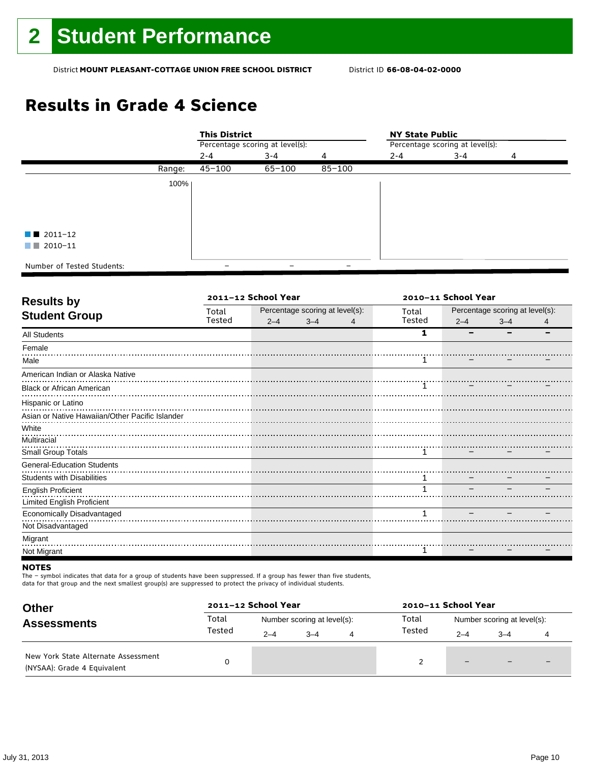## **Results in Grade 4 Science**

|                            |        | <b>This District</b>            |            |            |                                 | <b>NY State Public</b> |   |  |  |
|----------------------------|--------|---------------------------------|------------|------------|---------------------------------|------------------------|---|--|--|
|                            |        | Percentage scoring at level(s): |            |            | Percentage scoring at level(s): |                        |   |  |  |
|                            |        | $2 - 4$                         | $3 - 4$    | 4          | $2 - 4$                         | $3 - 4$                | 4 |  |  |
|                            | Range: | 45-100                          | $65 - 100$ | $85 - 100$ |                                 |                        |   |  |  |
|                            | 100%   |                                 |            |            |                                 |                        |   |  |  |
|                            |        |                                 |            |            |                                 |                        |   |  |  |
|                            |        |                                 |            |            |                                 |                        |   |  |  |
|                            |        |                                 |            |            |                                 |                        |   |  |  |
| $\blacksquare$ 2011-12     |        |                                 |            |            |                                 |                        |   |  |  |
| 2010-11<br>a kacamatan     |        |                                 |            |            |                                 |                        |   |  |  |
| Number of Tested Students: |        |                                 |            |            |                                 |                        |   |  |  |

| <b>Results by</b>                               |        | 2011-12 School Year |                                 |   | 2010-11 School Year |         |                                 |   |
|-------------------------------------------------|--------|---------------------|---------------------------------|---|---------------------|---------|---------------------------------|---|
|                                                 | Total  |                     | Percentage scoring at level(s): |   | Total               |         | Percentage scoring at level(s): |   |
| <b>Student Group</b>                            | Tested | $2 - 4$             | $3 - 4$                         | 4 | Tested              | $2 - 4$ | $3 - 4$                         | 4 |
| <b>All Students</b>                             |        |                     |                                 |   | 1                   |         |                                 |   |
| Female                                          |        |                     |                                 |   |                     |         |                                 |   |
| Male                                            |        |                     |                                 |   |                     |         |                                 |   |
| American Indian or Alaska Native                |        |                     |                                 |   |                     |         |                                 |   |
| <b>Black or African American</b>                |        |                     |                                 |   |                     |         |                                 |   |
| Hispanic or Latino                              |        |                     |                                 |   |                     |         |                                 |   |
| Asian or Native Hawaiian/Other Pacific Islander |        |                     |                                 |   |                     |         |                                 |   |
| White                                           |        |                     |                                 |   |                     |         |                                 |   |
| Multiracial                                     |        |                     |                                 |   |                     |         |                                 |   |
| Small Group Totals                              |        |                     |                                 |   | 1                   |         |                                 |   |
| <b>General-Education Students</b>               |        |                     |                                 |   |                     |         |                                 |   |
| <b>Students with Disabilities</b>               |        |                     |                                 |   |                     |         |                                 |   |
| <b>English Proficient</b>                       |        |                     |                                 |   | 1                   |         |                                 |   |
| <b>Limited English Proficient</b>               |        |                     |                                 |   |                     |         |                                 |   |
| <b>Economically Disadvantaged</b>               |        |                     |                                 |   | $\mathbf{1}$        |         |                                 |   |
| Not Disadvantaged                               |        |                     |                                 |   |                     |         |                                 |   |
| Migrant                                         |        |                     |                                 |   |                     |         |                                 |   |
| Not Migrant                                     |        |                     |                                 |   |                     |         |                                 |   |

#### **NOTES**

The – symbol indicates that data for a group of students have been suppressed. If a group has fewer than five students,

data for that group and the next smallest group(s) are suppressed to protect the privacy of individual students.

| <b>Other</b>                                                       |        | 2011-12 School Year         |         |   | 2010-11 School Year |                             |         |  |
|--------------------------------------------------------------------|--------|-----------------------------|---------|---|---------------------|-----------------------------|---------|--|
| <b>Assessments</b>                                                 | Total  | Number scoring at level(s): |         |   | Total               | Number scoring at level(s): |         |  |
|                                                                    | Tested | $2 - 4$                     | $3 - 4$ | 4 | Tested              | $2 - 4$                     | $3 - 4$ |  |
| New York State Alternate Assessment<br>(NYSAA): Grade 4 Equivalent |        |                             |         |   |                     | $\overline{\phantom{0}}$    |         |  |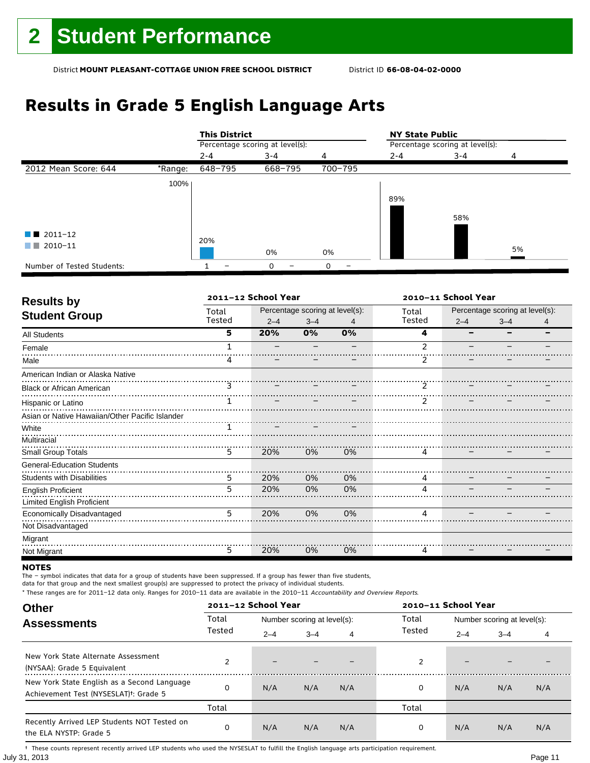## **Results in Grade 5 English Language Arts**

|                            |         | <b>This District</b>            |         |         | <b>NY State Public</b>          |         |    |  |
|----------------------------|---------|---------------------------------|---------|---------|---------------------------------|---------|----|--|
|                            |         | Percentage scoring at level(s): |         |         | Percentage scoring at level(s): |         |    |  |
|                            |         | $2 - 4$                         | $3 - 4$ | 4       | $2 - 4$                         | $3 - 4$ | 4  |  |
| 2012 Mean Score: 644       | *Range: | 648-795                         | 668-795 | 700-795 |                                 |         |    |  |
|                            | 100%    |                                 |         |         |                                 |         |    |  |
|                            |         |                                 |         |         | 89%                             |         |    |  |
|                            |         |                                 |         |         |                                 |         |    |  |
|                            |         |                                 |         |         |                                 | 58%     |    |  |
| $\blacksquare$ 2011-12     |         |                                 |         |         |                                 |         |    |  |
| 2010-11<br>a sa Tan        |         | 20%                             |         |         |                                 |         |    |  |
|                            |         |                                 | 0%      | 0%      |                                 |         | 5% |  |
| Number of Tested Students: |         |                                 | 0       | 0       |                                 |         |    |  |

| <b>Results by</b>                               |        | 2011-12 School Year |                                 |    | 2010-11 School Year |                                 |         |   |
|-------------------------------------------------|--------|---------------------|---------------------------------|----|---------------------|---------------------------------|---------|---|
|                                                 | Total  |                     | Percentage scoring at level(s): |    | Total               | Percentage scoring at level(s): |         |   |
| <b>Student Group</b>                            | Tested | $2 - 4$             | $3 - 4$                         | 4  | Tested              | $2 - 4$                         | $3 - 4$ | 4 |
| All Students                                    | 5      | 20%                 | 0%                              | 0% | 4                   |                                 |         |   |
| Female                                          |        |                     |                                 |    | $\mathcal{P}$       |                                 |         |   |
| Male                                            | 4      |                     |                                 |    | 2                   |                                 |         |   |
| American Indian or Alaska Native                |        |                     |                                 |    |                     |                                 |         |   |
| <b>Black or African American</b>                | 3      |                     |                                 |    | $\mathcal{P}$       |                                 |         |   |
| Hispanic or Latino                              |        |                     |                                 |    | $\mathcal{P}$       |                                 |         |   |
| Asian or Native Hawaiian/Other Pacific Islander |        |                     |                                 |    |                     |                                 |         |   |
| White                                           |        |                     |                                 |    |                     |                                 |         |   |
| Multiracial                                     |        |                     |                                 |    |                     |                                 |         |   |
| Small Group Totals                              | 5      | 20%                 | 0%                              | 0% | 4                   |                                 |         |   |
| <b>General-Education Students</b>               |        |                     |                                 |    |                     |                                 |         |   |
| <b>Students with Disabilities</b>               | 5      | 20%                 | 0%                              | 0% | 4                   |                                 |         |   |
| <b>English Proficient</b>                       | 5      | 20%                 | 0%                              | 0% |                     |                                 |         |   |
| Limited English Proficient                      |        |                     |                                 |    |                     |                                 |         |   |
| Economically Disadvantaged                      | 5      | 20%                 | 0%                              | 0% | 4                   |                                 |         |   |
| Not Disadvantaged                               |        |                     |                                 |    |                     |                                 |         |   |
| Migrant                                         |        |                     |                                 |    |                     |                                 |         |   |
| Not Migrant                                     | 5      | 20%                 | 0%                              | 0% | 4                   |                                 |         |   |

#### **NOTES**

The – symbol indicates that data for a group of students have been suppressed. If a group has fewer than five students,

data for that group and the next smallest group(s) are suppressed to protect the privacy of individual students.

\* These ranges are for 2011–12 data only. Ranges for 2010–11 data are available in the 2010–11 Accountability and Overview Reports.

| <b>Other</b>                                                                                      |        | 2011-12 School Year |                             |     |        | 2010-11 School Year         |         |     |  |
|---------------------------------------------------------------------------------------------------|--------|---------------------|-----------------------------|-----|--------|-----------------------------|---------|-----|--|
| <b>Assessments</b>                                                                                | Total  |                     | Number scoring at level(s): |     | Total  | Number scoring at level(s): |         |     |  |
|                                                                                                   | Tested | $2 - 4$             | $3 - 4$                     | 4   | Tested | $2 - 4$                     | $3 - 4$ | 4   |  |
| New York State Alternate Assessment<br>(NYSAA): Grade 5 Equivalent                                |        | -                   |                             |     | 2      | -                           |         |     |  |
| New York State English as a Second Language<br>Achievement Test (NYSESLAT) <sup>+</sup> : Grade 5 | O      | N/A                 | N/A                         | N/A | 0      | N/A                         | N/A     | N/A |  |
|                                                                                                   | Total  |                     |                             |     | Total  |                             |         |     |  |
| Recently Arrived LEP Students NOT Tested on<br>the ELA NYSTP: Grade 5                             | 0      | N/A                 | N/A                         | N/A | 0      | N/A                         | N/A     | N/A |  |

July 31, 2013 Page 11 † These counts represent recently arrived LEP students who used the NYSESLAT to fulfill the English language arts participation requirement.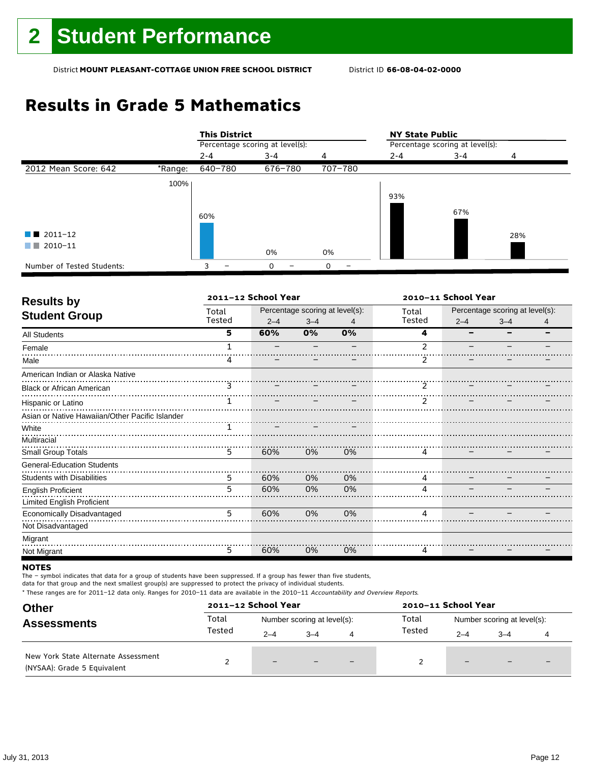## **Results in Grade 5 Mathematics**

|                            |         | <b>This District</b> |                                 |         | <b>NY State Public</b>          |         |     |
|----------------------------|---------|----------------------|---------------------------------|---------|---------------------------------|---------|-----|
|                            |         |                      | Percentage scoring at level(s): |         | Percentage scoring at level(s): |         |     |
|                            |         | $2 - 4$              | $3 - 4$                         | 4       | $2 - 4$                         | $3 - 4$ | 4   |
| 2012 Mean Score: 642       | *Range: | 640-780              | 676-780                         | 707-780 |                                 |         |     |
|                            | 100%    |                      |                                 |         |                                 |         |     |
|                            |         |                      |                                 |         | 93%                             |         |     |
|                            |         |                      |                                 |         |                                 | 67%     |     |
|                            |         | 60%                  |                                 |         |                                 |         |     |
| 2011-12<br>a sa na         |         |                      |                                 |         |                                 |         | 28% |
| $2010 - 11$<br>a sa ban    |         |                      |                                 |         |                                 |         |     |
|                            |         |                      | 0%                              | 0%      |                                 |         |     |
| Number of Tested Students: |         | 3                    | $\Omega$                        | O       |                                 |         |     |

| <b>Results by</b>                               |        | 2011-12 School Year |                                 |    | 2010-11 School Year |                                 |         |   |
|-------------------------------------------------|--------|---------------------|---------------------------------|----|---------------------|---------------------------------|---------|---|
| <b>Student Group</b>                            | Total  |                     | Percentage scoring at level(s): |    | Total               | Percentage scoring at level(s): |         |   |
|                                                 | Tested | $2 - 4$             | $3 - 4$                         | 4  | Tested              | $2 - 4$                         | $3 - 4$ | 4 |
| <b>All Students</b>                             | 5      | 60%                 | 0%                              | 0% | 4                   |                                 |         |   |
| Female                                          |        |                     |                                 |    | $\mathfrak{p}$      |                                 |         |   |
| Male                                            |        |                     |                                 |    |                     |                                 |         |   |
| American Indian or Alaska Native                |        |                     |                                 |    |                     |                                 |         |   |
| <b>Black or African American</b>                | 3      |                     |                                 |    | $\mathcal{P}$       |                                 |         |   |
| Hispanic or Latino                              |        |                     |                                 |    | $\mathcal{P}$       |                                 |         |   |
| Asian or Native Hawaiian/Other Pacific Islander |        |                     |                                 |    |                     |                                 |         |   |
| White                                           |        |                     |                                 |    |                     |                                 |         |   |
| Multiracial                                     |        |                     |                                 |    |                     |                                 |         |   |
| Small Group Totals                              | 5      | 60%                 | 0%                              | 0% | 4                   |                                 |         |   |
| <b>General-Education Students</b>               |        |                     |                                 |    |                     |                                 |         |   |
| <b>Students with Disabilities</b>               | 5      | 60%                 | 0%                              | 0% | 4                   |                                 |         |   |
| <b>English Proficient</b>                       | 5      | 60%                 | 0%                              | 0% |                     |                                 |         |   |
| <b>Limited English Proficient</b>               |        |                     |                                 |    |                     |                                 |         |   |
| Economically Disadvantaged                      | 5      | 60%                 | 0%                              | 0% | 4                   |                                 |         |   |
| Not Disadvantaged                               |        |                     |                                 |    |                     |                                 |         |   |
| Migrant                                         |        |                     |                                 |    |                     |                                 |         |   |
| Not Migrant                                     | 5      | 60%                 | 0%                              | 0% | 4                   |                                 |         |   |

#### **NOTES**

The – symbol indicates that data for a group of students have been suppressed. If a group has fewer than five students,

data for that group and the next smallest group(s) are suppressed to protect the privacy of individual students.

| <b>Other</b><br><b>Assessments</b><br>New York State Alternate Assessment<br>(NYSAA): Grade 5 Equivalent |        | 2011-12 School Year         |         |                          | 2010-11 School Year |                             |                          |                          |
|----------------------------------------------------------------------------------------------------------|--------|-----------------------------|---------|--------------------------|---------------------|-----------------------------|--------------------------|--------------------------|
|                                                                                                          | Total  | Number scoring at level(s): |         |                          | Total               | Number scoring at level(s): |                          |                          |
|                                                                                                          | Tested | $2 - 4$                     | $3 - 4$ | 4                        | Tested              | $2 - 4$                     | $3 - 4$                  |                          |
|                                                                                                          |        | $\overline{\phantom{0}}$    |         | $\overline{\phantom{0}}$ |                     | $-$                         | $\overline{\phantom{0}}$ | $\overline{\phantom{0}}$ |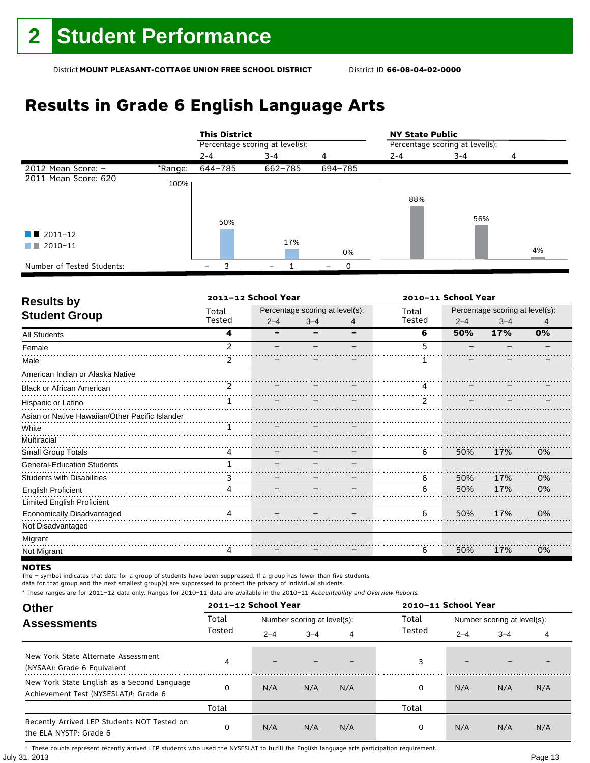## **Results in Grade 6 English Language Arts**

|                            |         | <b>This District</b>            |         |          | <b>NY State Public</b>          |         |    |  |
|----------------------------|---------|---------------------------------|---------|----------|---------------------------------|---------|----|--|
|                            |         | Percentage scoring at level(s): |         |          | Percentage scoring at level(s): |         |    |  |
|                            |         | $2 - 4$                         | $3 - 4$ | 4        | $2 - 4$                         | $3 - 4$ | 4  |  |
| 2012 Mean Score: $-$       | *Range: | 644-785                         | 662-785 | 694-785  |                                 |         |    |  |
| 2011 Mean Score: 620       | 100%    |                                 |         |          |                                 |         |    |  |
|                            |         |                                 |         |          | 88%                             |         |    |  |
|                            |         | 50%                             |         |          |                                 | 56%     |    |  |
| $\blacksquare$ 2011-12     |         |                                 |         |          |                                 |         |    |  |
| $\blacksquare$ 2010-11     |         |                                 | 17%     | 0%       |                                 |         | 4% |  |
| Number of Tested Students: |         | 3                               |         | $\Omega$ |                                 |         |    |  |

| <b>Results by</b>                               | 2011-12 School Year |         |                                 |   | 2010-11 School Year |         |                                 |    |
|-------------------------------------------------|---------------------|---------|---------------------------------|---|---------------------|---------|---------------------------------|----|
|                                                 | Total               |         | Percentage scoring at level(s): |   | Total               |         | Percentage scoring at level(s): |    |
| <b>Student Group</b>                            | Tested              | $2 - 4$ | $3 - 4$                         | 4 | Tested              | $2 - 4$ | $3 - 4$                         | 4  |
| All Students                                    | 4                   |         |                                 |   | 6                   | 50%     | 17%                             | 0% |
| Female                                          | $\mathcal{P}$       |         |                                 |   | 5                   |         |                                 |    |
| Male                                            | 2                   |         |                                 |   |                     |         |                                 |    |
| American Indian or Alaska Native                |                     |         |                                 |   |                     |         |                                 |    |
| <b>Black or African American</b>                | 2                   |         |                                 |   | 4                   |         |                                 |    |
| Hispanic or Latino                              |                     |         |                                 |   | $\mathcal{P}$       |         |                                 |    |
| Asian or Native Hawaiian/Other Pacific Islander |                     |         |                                 |   |                     |         |                                 |    |
| White                                           |                     |         |                                 |   |                     |         |                                 |    |
| Multiracial                                     |                     |         |                                 |   |                     |         |                                 |    |
| Small Group Totals                              | 4                   |         |                                 |   | 6                   | 50%     | 17%                             | 0% |
| <b>General-Education Students</b>               |                     |         |                                 |   |                     |         |                                 |    |
| <b>Students with Disabilities</b>               | 3                   |         |                                 |   | 6                   | 50%     | 17%                             | 0% |
| <b>English Proficient</b>                       | Λ                   |         |                                 |   | 6                   | 50%     | 17%                             | 0% |
| <b>Limited English Proficient</b>               |                     |         |                                 |   |                     |         |                                 |    |
| Economically Disadvantaged                      | 4                   |         |                                 |   | 6                   | 50%     | 17%                             | 0% |
| Not Disadvantaged                               |                     |         |                                 |   |                     |         |                                 |    |
| Migrant                                         |                     |         |                                 |   |                     |         |                                 |    |
| Not Migrant                                     | 4                   |         |                                 |   | 6                   | 50%     | 17%                             | 0% |

#### **NOTES**

The – symbol indicates that data for a group of students have been suppressed. If a group has fewer than five students,

data for that group and the next smallest group(s) are suppressed to protect the privacy of individual students.

\* These ranges are for 2011–12 data only. Ranges for 2010–11 data are available in the 2010–11 Accountability and Overview Reports.

| <b>Other</b>                                                                                      |        | 2011-12 School Year |                             |     | 2010-11 School Year |         |                             |     |
|---------------------------------------------------------------------------------------------------|--------|---------------------|-----------------------------|-----|---------------------|---------|-----------------------------|-----|
| <b>Assessments</b>                                                                                | Total  |                     | Number scoring at level(s): |     | Total               |         | Number scoring at level(s): |     |
|                                                                                                   | Tested | $2 - 4$             | $3 - 4$                     | 4   | Tested              | $2 - 4$ | $3 - 4$                     | 4   |
| New York State Alternate Assessment<br>(NYSAA): Grade 6 Equivalent                                | 4      |                     |                             |     | 3                   | -       |                             |     |
| New York State English as a Second Language<br>Achievement Test (NYSESLAT) <sup>†</sup> : Grade 6 | ი      | N/A                 | N/A                         | N/A | 0                   | N/A     | N/A                         | N/A |
|                                                                                                   | Total  |                     |                             |     | Total               |         |                             |     |
| Recently Arrived LEP Students NOT Tested on<br>the ELA NYSTP: Grade 6                             | 0      | N/A                 | N/A                         | N/A | 0                   | N/A     | N/A                         | N/A |

July 31, 2013 Page 13 † These counts represent recently arrived LEP students who used the NYSESLAT to fulfill the English language arts participation requirement.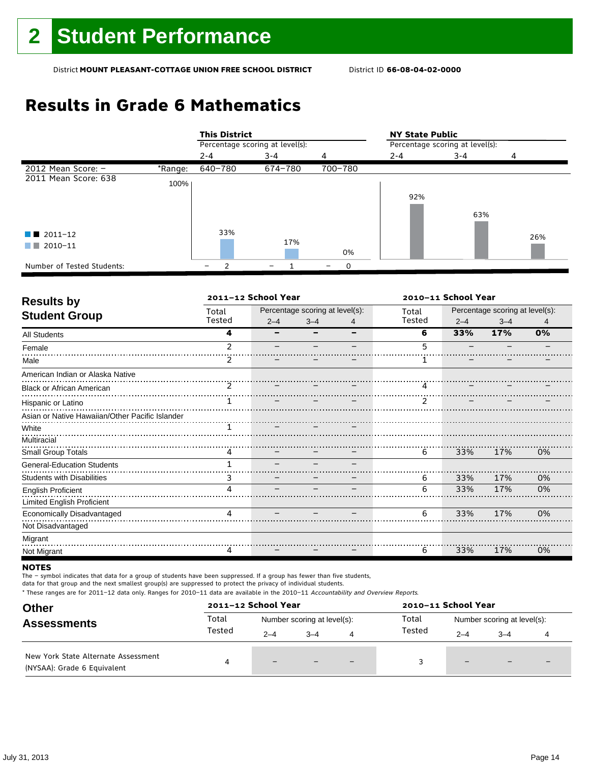## **Results in Grade 6 Mathematics**

|                            |         | <b>This District</b>            |         |         | <b>NY State Public</b>          |         |     |  |  |
|----------------------------|---------|---------------------------------|---------|---------|---------------------------------|---------|-----|--|--|
|                            |         | Percentage scoring at level(s): |         |         | Percentage scoring at level(s): |         |     |  |  |
|                            |         | $2 - 4$                         | 3-4     | 4       | $2 - 4$                         | $3 - 4$ | 4   |  |  |
| 2012 Mean Score: $-$       | *Range: | 640-780                         | 674-780 | 700-780 |                                 |         |     |  |  |
| 2011 Mean Score: 638       | 100%    |                                 |         |         |                                 |         |     |  |  |
|                            |         |                                 |         |         | 92%                             |         |     |  |  |
|                            |         |                                 |         |         |                                 | 63%     |     |  |  |
| $\blacksquare$ 2011-12     |         | 33%                             |         |         |                                 |         | 26% |  |  |
| 2010-11<br>a katika        |         |                                 | 17%     | 0%      |                                 |         |     |  |  |
| Number of Tested Students: |         | っ<br>-                          |         | 0       |                                 |         |     |  |  |

| <b>Results by</b>                               |               | 2011-12 School Year |                                 |   | 2010-11 School Year |                                 |         |    |
|-------------------------------------------------|---------------|---------------------|---------------------------------|---|---------------------|---------------------------------|---------|----|
| <b>Student Group</b>                            | Total         |                     | Percentage scoring at level(s): |   | Total               | Percentage scoring at level(s): |         |    |
|                                                 | Tested        | $2 - 4$             | $3 - 4$                         | 4 | Tested              | $2 - 4$                         | $3 - 4$ | 4  |
| All Students                                    | 4             |                     |                                 | - | 6                   | 33%                             | 17%     | 0% |
| Female                                          | $\mathcal{P}$ |                     |                                 |   | 5                   |                                 |         |    |
| Male                                            |               |                     |                                 |   |                     |                                 |         |    |
| American Indian or Alaska Native                |               |                     |                                 |   |                     |                                 |         |    |
| <b>Black or African American</b>                | $\mathcal{P}$ |                     |                                 |   | 4                   |                                 |         |    |
| Hispanic or Latino                              |               |                     |                                 |   | $\mathcal{P}$       |                                 |         |    |
| Asian or Native Hawaiian/Other Pacific Islander |               |                     |                                 |   |                     |                                 |         |    |
| White                                           |               |                     |                                 |   |                     |                                 |         |    |
| Multiracial                                     |               |                     |                                 |   |                     |                                 |         |    |
| Small Group Totals                              |               |                     |                                 |   | 6                   | 33%                             | 17%     | 0% |
| <b>General-Education Students</b>               |               |                     |                                 |   |                     |                                 |         |    |
| <b>Students with Disabilities</b>               | 3             |                     |                                 |   | 6                   | 33%                             | 17%     | 0% |
| <b>English Proficient</b>                       | Λ             |                     |                                 |   | 6                   | 33%                             | 17%     | 0% |
| <b>Limited English Proficient</b>               |               |                     |                                 |   |                     |                                 |         |    |
| Economically Disadvantaged                      | 4             |                     |                                 |   | 6                   | 33%                             | 17%     | 0% |
| Not Disadvantaged                               |               |                     |                                 |   |                     |                                 |         |    |
| Migrant                                         |               |                     |                                 |   |                     |                                 |         |    |
| Not Migrant                                     | 4             |                     |                                 |   | 6                   | 33%                             | 17%     | 0% |

#### **NOTES**

The – symbol indicates that data for a group of students have been suppressed. If a group has fewer than five students,

data for that group and the next smallest group(s) are suppressed to protect the privacy of individual students.

| <b>Other</b><br><b>Assessments</b><br>New York State Alternate Assessment<br>(NYSAA): Grade 6 Equivalent |        | 2011-12 School Year         |         |                          | 2010-11 School Year |                             |                          |                          |
|----------------------------------------------------------------------------------------------------------|--------|-----------------------------|---------|--------------------------|---------------------|-----------------------------|--------------------------|--------------------------|
|                                                                                                          | Total  | Number scoring at level(s): |         |                          | Total               | Number scoring at level(s): |                          |                          |
|                                                                                                          | Tested | $2 - 4$                     | $3 - 4$ | 4                        | Tested              | $2 - 4$                     | $3 - 4$                  |                          |
|                                                                                                          |        | $-$                         |         | $\overline{\phantom{0}}$ |                     | $-$                         | $\overline{\phantom{0}}$ | $\overline{\phantom{0}}$ |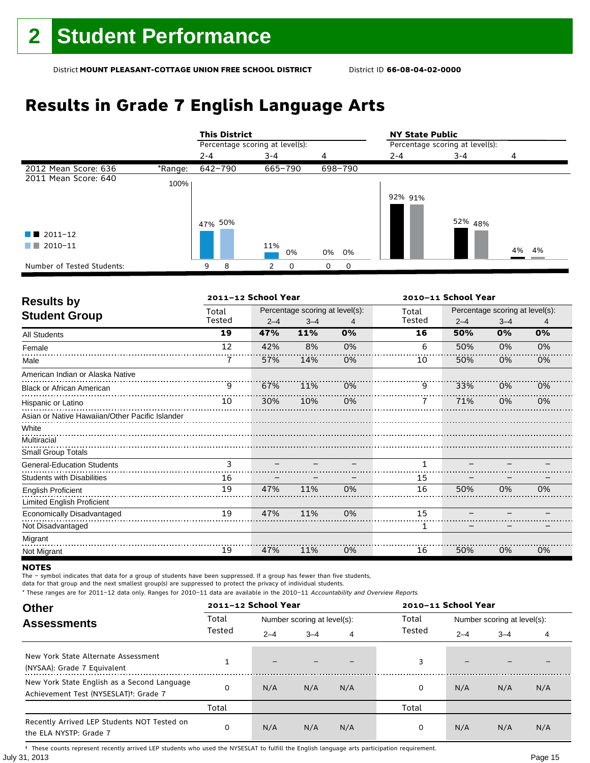## **Results in Grade 7 English Language Arts**

|                            |         | <b>This District</b>            |           |               | <b>NY State Public</b>          |                    |          |  |
|----------------------------|---------|---------------------------------|-----------|---------------|---------------------------------|--------------------|----------|--|
|                            |         | Percentage scoring at level(s): |           |               | Percentage scoring at level(s): |                    |          |  |
|                            |         | $2 - 4$                         | 3-4       | 4             | $2 - 4$                         | 3-4                | 4        |  |
| 2012 Mean Score: 636       | *Range: | 642-790                         | 665-790   | 698-790       |                                 |                    |          |  |
| 2011 Mean Score: 640       | 100%    |                                 |           |               |                                 |                    |          |  |
|                            |         | 47% 50%                         |           |               | 92% 91%                         | 52% <sub>48%</sub> |          |  |
| $\blacksquare$ 2011-12     |         |                                 |           |               |                                 |                    |          |  |
| 2010-11<br>a ka            |         |                                 | 11%<br>0% | 0%<br>0%      |                                 |                    | 4%<br>4% |  |
| Number of Tested Students: |         | 8<br>9                          |           | 0<br>$\Omega$ |                                 |                    |          |  |

|                                                 |        | 2011-12 School Year |                                 |    |        | 2010-11 School Year |                                 |    |
|-------------------------------------------------|--------|---------------------|---------------------------------|----|--------|---------------------|---------------------------------|----|
|                                                 | Total  |                     | Percentage scoring at level(s): |    | Total  |                     | Percentage scoring at level(s): |    |
| <b>Results by</b><br><b>Student Group</b>       | Tested | $2 - 4$             | $3 - 4$                         | 4  | Tested | $2 - 4$             | $3 - 4$                         | 4  |
| All Students                                    | 19     | 47%                 | 11%                             | 0% | 16     | 50%                 | 0%                              | 0% |
| Female                                          | 12     | 42%                 | 8%                              | 0% | 6      | 50%                 | 0%                              | 0% |
| Male                                            | 7      | 57%                 | 14%                             | 0% | 10     | 50%                 | 0%                              | 0% |
| American Indian or Alaska Native                |        |                     |                                 |    |        |                     |                                 |    |
| <b>Black or African American</b>                | 9      | 67%                 | 11%                             | 0% | 9      | 33%                 | 0%                              | 0% |
| Hispanic or Latino                              | 10     | 30%                 | 10%                             | 0% |        | 71%                 | 0%                              | 0% |
| Asian or Native Hawaiian/Other Pacific Islander |        |                     |                                 |    |        |                     |                                 |    |
| White                                           |        |                     |                                 |    |        |                     |                                 |    |
| Multiracial                                     |        |                     |                                 |    |        |                     |                                 |    |
| Small Group Totals                              |        |                     |                                 |    |        |                     |                                 |    |
| <b>General-Education Students</b>               | 3      |                     |                                 |    | 1      |                     |                                 |    |
| <b>Students with Disabilities</b>               | 16     |                     |                                 |    | 15     |                     |                                 |    |
| <b>English Proficient</b>                       | 19     | 47%                 | 11%                             | 0% | 16     | 50%                 | 0%                              | 0% |
| <b>Limited English Proficient</b>               |        |                     |                                 |    |        |                     |                                 |    |
| <b>Economically Disadvantaged</b>               | 19     | 47%                 | 11%                             | 0% | 15     |                     |                                 |    |
| Not Disadvantaged                               |        |                     |                                 |    | 1      |                     |                                 |    |
| Migrant                                         |        |                     |                                 |    |        |                     |                                 |    |
| Not Migrant                                     | 19     | 47%                 | 11%                             | 0% | 16     | 50%                 | 0%                              | 0% |

#### **NOTES**

The – symbol indicates that data for a group of students have been suppressed. If a group has fewer than five students,

data for that group and the next smallest group(s) are suppressed to protect the privacy of individual students.

\* These ranges are for 2011–12 data only. Ranges for 2010–11 data are available in the 2010–11 Accountability and Overview Reports.

| <b>Other</b>                                                                                      |                                             | 2011-12 School Year      |                             |     | 2010-11 School Year |                             |     |     |
|---------------------------------------------------------------------------------------------------|---------------------------------------------|--------------------------|-----------------------------|-----|---------------------|-----------------------------|-----|-----|
| <b>Assessments</b>                                                                                | Total                                       |                          | Number scoring at level(s): |     |                     | Number scoring at level(s): |     |     |
|                                                                                                   | Tested<br>Tested<br>$2 - 4$<br>$3 - 4$<br>4 | $2 - 4$                  | $3 - 4$                     | 4   |                     |                             |     |     |
| New York State Alternate Assessment<br>(NYSAA): Grade 7 Equivalent                                |                                             | $\overline{\phantom{0}}$ |                             |     | 3                   | -                           |     |     |
| New York State English as a Second Language<br>Achievement Test (NYSESLAT) <sup>+</sup> : Grade 7 | ი                                           | N/A                      | N/A                         | N/A | 0                   | N/A                         | N/A | N/A |
|                                                                                                   | Total                                       |                          |                             |     | Total               |                             |     |     |
| Recently Arrived LEP Students NOT Tested on<br>the ELA NYSTP: Grade 7                             | 0                                           | N/A                      | N/A                         | N/A | 0                   | N/A                         | N/A | N/A |

July 31, 2013 Page 15 † These counts represent recently arrived LEP students who used the NYSESLAT to fulfill the English language arts participation requirement.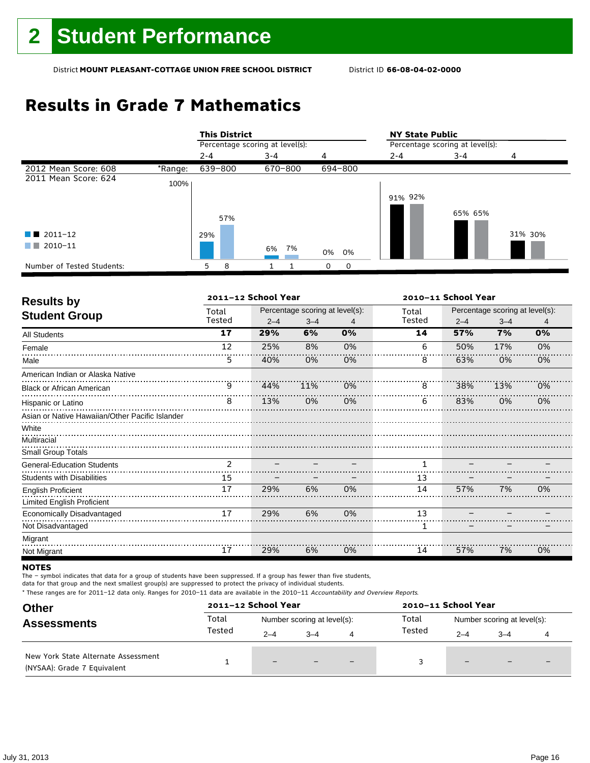## **Results in Grade 7 Mathematics**

|                            |         |         | <b>This District</b>            |         |         |    |         |                                 | <b>NY State Public</b> |         |  |  |
|----------------------------|---------|---------|---------------------------------|---------|---------|----|---------|---------------------------------|------------------------|---------|--|--|
|                            |         |         | Percentage scoring at level(s): |         |         |    |         | Percentage scoring at level(s): |                        |         |  |  |
|                            |         | $2 - 4$ |                                 | $3 - 4$ |         | 4  |         | $2 - 4$                         | $3 - 4$                | 4       |  |  |
| 2012 Mean Score: 608       | *Range: | 639-800 |                                 |         | 670-800 |    | 694-800 |                                 |                        |         |  |  |
| 2011 Mean Score: 624       | 100%    |         |                                 |         |         |    |         |                                 |                        |         |  |  |
|                            |         |         |                                 |         |         |    |         | 91% 92%                         |                        |         |  |  |
|                            |         |         | 57%                             |         |         |    |         |                                 | 65% 65%                |         |  |  |
|                            |         |         |                                 |         |         |    |         |                                 |                        |         |  |  |
| $2011 - 12$<br>a sa na     |         | 29%     |                                 |         |         |    |         |                                 |                        | 31% 30% |  |  |
| 2010-11<br>a sa ban        |         |         |                                 | 6% 7%   |         | 0% | 0%      |                                 |                        |         |  |  |
| Number of Tested Students: |         | 5       | 8                               |         |         | 0  | 0       |                                 |                        |         |  |  |

| <b>Results by</b>                                       |                | 2011-12 School Year |                                 |    | 2010-11 School Year |                                 |         |    |
|---------------------------------------------------------|----------------|---------------------|---------------------------------|----|---------------------|---------------------------------|---------|----|
| <b>Student Group</b>                                    | Total          |                     | Percentage scoring at level(s): |    | Total               | Percentage scoring at level(s): |         |    |
|                                                         | Tested         | $2 - 4$             | $3 - 4$                         | 4  | Tested              | $2 - 4$                         | $3 - 4$ | 4  |
| <b>All Students</b>                                     | 17             | 29%                 | 6%                              | 0% | 14                  | 57%                             | 7%      | 0% |
| Female                                                  | 12             | 25%                 | 8%                              | 0% | 6                   | 50%                             | 17%     | 0% |
| Male                                                    | 5              | 40%                 | 0%                              | 0% | 8                   | 63%                             | 0%      | 0% |
| American Indian or Alaska Native                        |                |                     |                                 |    |                     |                                 |         |    |
| <b>Black or African American</b>                        | 9              | 44%                 | 11%                             | 0% | 8                   | 38%                             | 13%     | 0% |
| Hispanic or Latino                                      | 8              | 13%                 | 0%                              | 0% | 6                   | 83%                             | 0%      | 0% |
| Asian or Native Hawaiian/Other Pacific Islander         |                |                     |                                 |    |                     |                                 |         |    |
| White<br>Multiracial<br><b>Small Group Totals</b>       |                |                     |                                 |    |                     |                                 |         |    |
| <b>General-Education Students</b>                       | $\overline{2}$ |                     |                                 |    | 1                   |                                 |         |    |
| <b>Students with Disabilities</b>                       | 15             |                     |                                 |    | 13                  |                                 |         |    |
| <b>English Proficient</b><br>Limited English Proficient | 17             | 29%                 | 6%                              | 0% | 14                  | 57%                             | 7%      | 0% |
| Economically Disadvantaged                              | 17             | 29%                 | 6%                              | 0% | 13                  |                                 |         |    |
| Not Disadvantaged                                       |                |                     |                                 |    | 1                   |                                 |         |    |
| Migrant                                                 |                |                     |                                 |    |                     |                                 |         |    |
| Not Migrant                                             | 17             | 29%                 | 6%                              | 0% | 14                  | 57%                             | 7%      | 0% |

#### **NOTES**

The – symbol indicates that data for a group of students have been suppressed. If a group has fewer than five students,

data for that group and the next smallest group(s) are suppressed to protect the privacy of individual students.

| <b>Other</b>                                                       |        | 2011-12 School Year |                             |   | 2010-11 School Year |                             |         |  |
|--------------------------------------------------------------------|--------|---------------------|-----------------------------|---|---------------------|-----------------------------|---------|--|
| <b>Assessments</b>                                                 | Total  |                     | Number scoring at level(s): |   | Total               | Number scoring at level(s): |         |  |
|                                                                    | Tested | $2 - 4$             | $-4$                        | 4 | Tested              | $2 - 4$                     | $3 - 4$ |  |
| New York State Alternate Assessment<br>(NYSAA): Grade 7 Equivalent |        | -                   |                             |   |                     | $\overline{\phantom{0}}$    |         |  |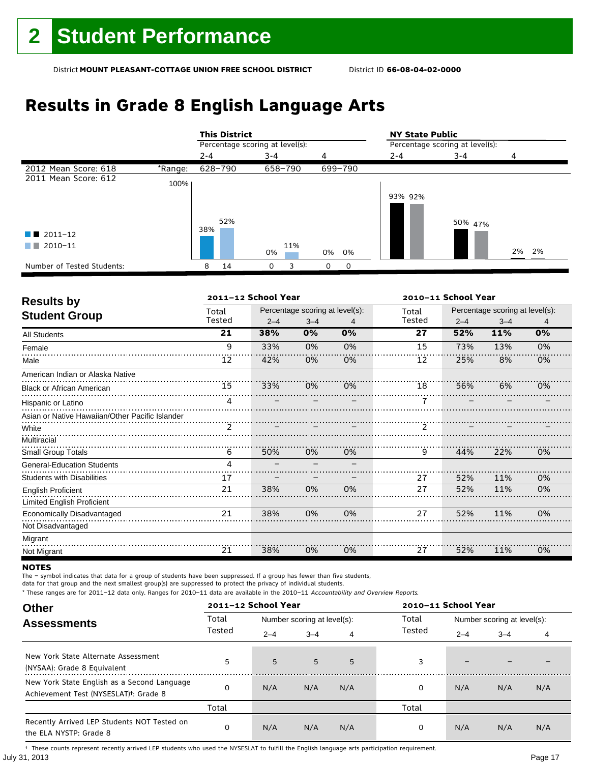## **Results in Grade 8 English Language Arts**

|                            |         | <b>This District</b>            |           |          | <b>NY State Public</b>          |         |       |  |
|----------------------------|---------|---------------------------------|-----------|----------|---------------------------------|---------|-------|--|
|                            |         | Percentage scoring at level(s): |           |          | Percentage scoring at level(s): |         |       |  |
|                            |         | $2 - 4$                         | $3 - 4$   | 4        | $2 - 4$                         | 3-4     | 4     |  |
| 2012 Mean Score: 618       | *Range: | 628-790                         | 658-790   | 699-790  |                                 |         |       |  |
| 2011 Mean Score: 612       | 100%    |                                 |           |          |                                 |         |       |  |
|                            |         |                                 |           |          | 93% 92%                         |         |       |  |
|                            |         |                                 |           |          |                                 |         |       |  |
|                            |         | 52%                             |           |          |                                 | 50% 47% |       |  |
| $\blacksquare$ 2011-12     |         | 38%                             |           |          |                                 |         |       |  |
| 2010-11<br>a sa Tan        |         |                                 | 11%<br>0% | 0%<br>0% |                                 |         | 2% 2% |  |
| Number of Tested Students: |         | 14<br>8                         | 0         | 0<br>0   |                                 |         |       |  |

| <b>Results by</b>                               |        | 2011-12 School Year |                                 |    | 2010-11 School Year |                                 |         |    |
|-------------------------------------------------|--------|---------------------|---------------------------------|----|---------------------|---------------------------------|---------|----|
| <b>Student Group</b>                            | Total  |                     | Percentage scoring at level(s): |    | Total               | Percentage scoring at level(s): |         |    |
|                                                 | Tested | $2 - 4$             | $3 - 4$                         | 4  | Tested              | $2 - 4$                         | $3 - 4$ | 4  |
| All Students                                    | 21     | 38%                 | 0%                              | 0% | 27                  | 52%                             | 11%     | 0% |
| Female                                          | 9      | 33%                 | 0%                              | 0% | 15                  | 73%                             | 13%     | 0% |
| Male                                            | 12     | 42%                 | 0%                              | 0% | 12                  | 25%                             | 8%      | 0% |
| American Indian or Alaska Native                |        |                     |                                 |    |                     |                                 |         |    |
| <b>Black or African American</b>                | 15     | 33%                 | 0%                              | 0% | 18                  | 56%                             | 6%      | 0% |
| Hispanic or Latino                              | 4      |                     |                                 |    |                     |                                 |         |    |
| Asian or Native Hawaiian/Other Pacific Islander |        |                     |                                 |    |                     |                                 |         |    |
| White                                           |        |                     |                                 |    | $\frac{1}{2}$       |                                 |         |    |
| Multiracial                                     |        |                     |                                 |    |                     |                                 |         |    |
| Small Group Totals                              | 6      | 50%                 | 0%                              | 0% | 9                   | 44%                             | 22%     | 0% |
| <b>General-Education Students</b>               | 4      |                     |                                 |    |                     |                                 |         |    |
| <b>Students with Disabilities</b>               | 17     |                     |                                 |    | 27                  | 52%                             | 11%     | 0% |
| <b>English Proficient</b>                       | 21     | 38%                 | 0%                              | 0% | 27                  | 52%                             | 11%     | 0% |
| Limited English Proficient                      |        |                     |                                 |    |                     |                                 |         |    |
| Economically Disadvantaged                      | 21     | 38%                 | 0%                              | 0% | 27                  | 52%                             | 11%     | 0% |
| Not Disadvantaged                               |        |                     |                                 |    |                     |                                 |         |    |
| Migrant                                         |        |                     |                                 |    |                     |                                 |         |    |
| Not Migrant                                     | 21     | 38%                 | 0%                              | 0% | 27                  | 52%                             | 11%     | 0% |

#### **NOTES**

The – symbol indicates that data for a group of students have been suppressed. If a group has fewer than five students,

data for that group and the next smallest group(s) are suppressed to protect the privacy of individual students.

\* These ranges are for 2011–12 data only. Ranges for 2010–11 data are available in the 2010–11 Accountability and Overview Reports.

| <b>Other</b>                                                                                      |        | 2011-12 School Year |                             |     | 2010-11 School Year |                             |         |     |
|---------------------------------------------------------------------------------------------------|--------|---------------------|-----------------------------|-----|---------------------|-----------------------------|---------|-----|
| <b>Assessments</b>                                                                                | Total  |                     | Number scoring at level(s): |     | Total               | Number scoring at level(s): |         |     |
|                                                                                                   | Tested | $2 - 4$             | $3 - 4$                     | 4   | Tested              | $2 - 4$                     | $3 - 4$ | 4   |
| New York State Alternate Assessment<br>(NYSAA): Grade 8 Equivalent                                | 5      | 5                   | 5                           | 5   | 3                   | -                           |         |     |
| New York State English as a Second Language<br>Achievement Test (NYSESLAT) <sup>+</sup> : Grade 8 |        | N/A                 | N/A                         | N/A | 0                   | N/A                         | N/A     | N/A |
|                                                                                                   | Total  |                     |                             |     | Total               |                             |         |     |
| Recently Arrived LEP Students NOT Tested on<br>the ELA NYSTP: Grade 8                             |        | N/A                 | N/A                         | N/A | 0                   | N/A                         | N/A     | N/A |

July 31, 2013 Page 17 † These counts represent recently arrived LEP students who used the NYSESLAT to fulfill the English language arts participation requirement.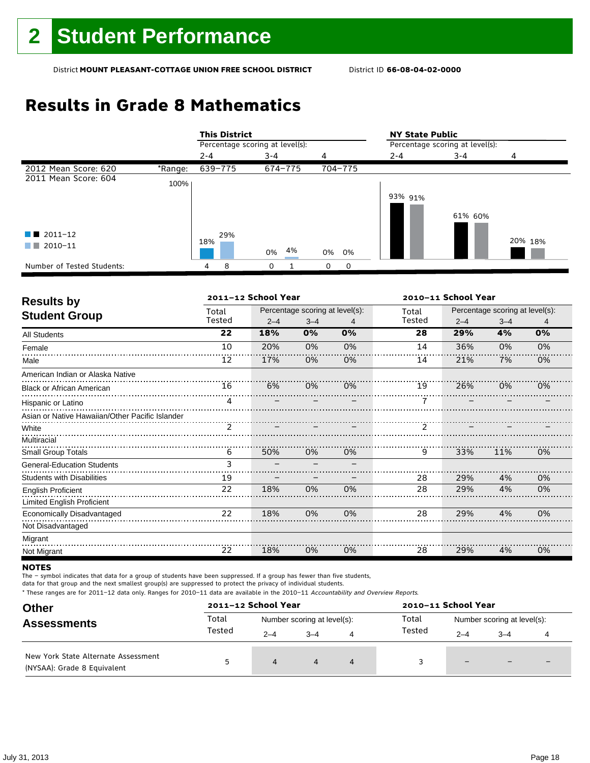## **Results in Grade 8 Mathematics**

|                            |         | <b>This District</b>            |  |          |  |         |          | <b>NY State Public</b>          |         |         |  |
|----------------------------|---------|---------------------------------|--|----------|--|---------|----------|---------------------------------|---------|---------|--|
|                            |         | Percentage scoring at level(s): |  |          |  |         |          | Percentage scoring at level(s): |         |         |  |
|                            |         | $2 - 4$                         |  | $3 - 4$  |  | 4       |          | $2 - 4$                         | $3 - 4$ | 4       |  |
| 2012 Mean Score: 620       | *Range: | 639-775                         |  | 674-775  |  | 704-775 |          |                                 |         |         |  |
| 2011 Mean Score: 604       | 100%    |                                 |  |          |  |         |          |                                 |         |         |  |
|                            |         |                                 |  |          |  |         |          | 93% 91%                         |         |         |  |
|                            |         |                                 |  |          |  |         |          |                                 | 61% 60% |         |  |
|                            |         |                                 |  |          |  |         |          |                                 |         |         |  |
| $\blacksquare$ 2011-12     |         | 29%                             |  |          |  |         |          |                                 |         |         |  |
| 2010-11<br>a sa n          |         | 18%                             |  | 4%<br>0% |  | 0%      | 0%       |                                 |         | 20% 18% |  |
| Number of Tested Students: |         | 8<br>4                          |  | 0        |  | 0       | $\Omega$ |                                 |         |         |  |

| <b>Results by</b>                               |        | 2011-12 School Year |                                 |    | 2010-11 School Year |                                 |         |    |  |
|-------------------------------------------------|--------|---------------------|---------------------------------|----|---------------------|---------------------------------|---------|----|--|
|                                                 | Total  |                     | Percentage scoring at level(s): |    | Total               | Percentage scoring at level(s): |         |    |  |
| <b>Student Group</b>                            | Tested | $2 - 4$             | $3 - 4$                         | 4  | Tested              | $2 - 4$                         | $3 - 4$ | 4  |  |
| <b>All Students</b>                             | 22     | 18%                 | 0%                              | 0% | 28                  | 29%                             | 4%      | 0% |  |
| Female                                          | 10     | 20%                 | 0%                              | 0% | 14                  | 36%                             | 0%      | 0% |  |
| Male                                            | 12     | 17%                 | 0%                              | 0% | 14                  | 21%                             | 7%      | 0% |  |
| American Indian or Alaska Native                |        |                     |                                 |    |                     |                                 |         |    |  |
| <b>Black or African American</b>                | 16     | 6%                  | 0%                              | 0% | 19                  | 26%                             | 0%      | 0% |  |
| Hispanic or Latino                              | 4      |                     |                                 |    |                     |                                 |         |    |  |
| Asian or Native Hawaiian/Other Pacific Islander |        |                     |                                 |    |                     |                                 |         |    |  |
| White                                           | ゔ      |                     |                                 |    |                     |                                 |         |    |  |
| Multiracial                                     |        |                     |                                 |    |                     |                                 |         |    |  |
| <b>Small Group Totals</b>                       | 6      | 50%                 | 0%                              | 0% | 9                   | 33%                             | 11%     | 0% |  |
| <b>General-Education Students</b>               | 3      |                     |                                 |    |                     |                                 |         |    |  |
| <b>Students with Disabilities</b>               | 19     |                     |                                 |    | 28                  | 29%                             | 4%      | 0% |  |
| English Proficient                              | 22     | 18%                 | 0%                              | 0% | 28                  | 29%                             | 4%      | 0% |  |
| <b>Limited English Proficient</b>               |        |                     |                                 |    |                     |                                 |         |    |  |
| Economically Disadvantaged                      | 22     | 18%                 | 0%                              | 0% | 28                  | 29%                             | 4%      | 0% |  |
| Not Disadvantaged                               |        |                     |                                 |    |                     |                                 |         |    |  |
| Migrant                                         |        |                     |                                 |    |                     |                                 |         |    |  |
| Not Migrant                                     | 22     | 18%                 | 0%                              | 0% | 28                  | 29%                             | 4%      | 0% |  |

#### **NOTES**

The – symbol indicates that data for a group of students have been suppressed. If a group has fewer than five students,

data for that group and the next smallest group(s) are suppressed to protect the privacy of individual students.

| <b>Other</b>                                                       | 2011-12 School Year |                             |         |   | 2010-11 School Year |                             |                          |                          |
|--------------------------------------------------------------------|---------------------|-----------------------------|---------|---|---------------------|-----------------------------|--------------------------|--------------------------|
| <b>Assessments</b>                                                 | Total               | Number scoring at level(s): |         |   | Total               | Number scoring at level(s): |                          |                          |
|                                                                    | Tested              | $2 - 4$                     | $3 - 4$ | 4 | Tested              | $2 - 4$                     | $3 - 4$                  |                          |
| New York State Alternate Assessment<br>(NYSAA): Grade 8 Equivalent |                     | 4                           | 4       | 4 |                     | $\qquad \qquad -$           | $\overline{\phantom{0}}$ | $\overline{\phantom{0}}$ |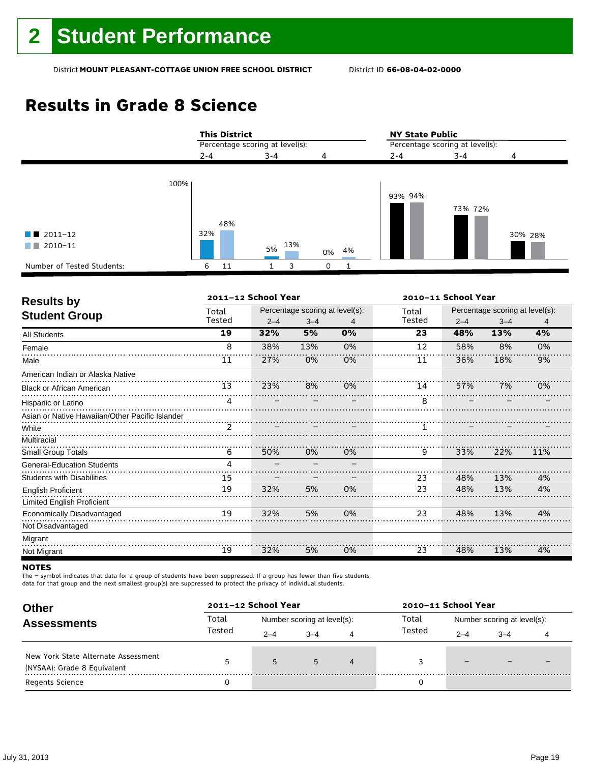## **Results in Grade 8 Science**

|                                                                                        | <b>This District</b>            |                |               | <b>NY State Public</b><br>Percentage scoring at level(s): |         |         |  |
|----------------------------------------------------------------------------------------|---------------------------------|----------------|---------------|-----------------------------------------------------------|---------|---------|--|
|                                                                                        | Percentage scoring at level(s): |                |               |                                                           |         |         |  |
|                                                                                        | $2 - 4$                         | $3 - 4$        | 4             | $2 - 4$                                                   | $3 - 4$ | 4       |  |
| 100%<br>$\blacksquare$ 2011-12<br>$\blacksquare$ 2010-11<br>Number of Tested Students: | 48%<br>32%<br>11<br>6           | 13%<br>5%<br>3 | 4%<br>0%<br>0 | 93% 94%                                                   | 73% 72% | 30% 28% |  |

| <b>Results by</b>                               |        | 2011-12 School Year |                                 |    | 2010-11 School Year |                                 |         |     |
|-------------------------------------------------|--------|---------------------|---------------------------------|----|---------------------|---------------------------------|---------|-----|
|                                                 | Total  |                     | Percentage scoring at level(s): |    | Total               | Percentage scoring at level(s): |         |     |
| <b>Student Group</b>                            | Tested | $2 - 4$             | $3 - 4$                         | 4  | Tested              | $2 - 4$                         | $3 - 4$ | 4   |
| <b>All Students</b>                             | 19     | 32%                 | 5%                              | 0% | 23                  | 48%                             | 13%     | 4%  |
| Female                                          | 8      | 38%                 | 13%                             | 0% | 12                  | 58%                             | 8%      | 0%  |
| Male                                            | 11     | 27%                 | 0%                              | 0% | 11                  | 36%                             | 18%     | 9%  |
| American Indian or Alaska Native                |        |                     |                                 |    |                     |                                 |         |     |
| <b>Black or African American</b>                | 13     | 23%                 | 8%                              | 0% | 14                  | 57%                             | 7%      | 0%  |
| Hispanic or Latino                              | 4      |                     |                                 |    | 8                   |                                 |         |     |
| Asian or Native Hawaiian/Other Pacific Islander |        |                     |                                 |    |                     |                                 |         |     |
| White                                           |        |                     |                                 |    |                     |                                 |         |     |
| Multiracial                                     |        |                     |                                 |    |                     |                                 |         |     |
| Small Group Totals                              | 6      | 50%                 | 0%                              | 0% | 9                   | 33%                             | 22%     | 11% |
| <b>General-Education Students</b>               | 4      |                     |                                 |    |                     |                                 |         |     |
| <b>Students with Disabilities</b>               | 15     |                     |                                 |    | 23                  | 48%                             | 13%     | 4%  |
| <b>English Proficient</b>                       | 19     | 32%                 | 5%                              | 0% | 23                  | 48%                             | 13%     | 4%  |
| <b>Limited English Proficient</b>               |        |                     |                                 |    |                     |                                 |         |     |
| Economically Disadvantaged                      | 19     | 32%                 | 5%                              | 0% | 23                  | 48%                             | 13%     | 4%  |
| Not Disadvantaged                               |        |                     |                                 |    |                     |                                 |         |     |
| Migrant                                         |        |                     |                                 |    |                     |                                 |         |     |
| Not Migrant                                     | 19     | 32%                 | 5%                              | 0% | 23                  | 48%                             | 13%     | 4%  |

#### **NOTES**

The – symbol indicates that data for a group of students have been suppressed. If a group has fewer than five students,

data for that group and the next smallest group(s) are suppressed to protect the privacy of individual students.

| <b>Other</b>                                                       |        | 2011-12 School Year |                             |                | 2010-11 School Year |                             |         |  |  |
|--------------------------------------------------------------------|--------|---------------------|-----------------------------|----------------|---------------------|-----------------------------|---------|--|--|
| <b>Assessments</b>                                                 | Total  |                     | Number scoring at level(s): |                | Total               | Number scoring at level(s): |         |  |  |
|                                                                    | Tested | $2 - 4$             | $3 - 4$                     | 4              | Tested              | $2 - 4$                     | $3 - 4$ |  |  |
| New York State Alternate Assessment<br>(NYSAA): Grade 8 Equivalent |        | 5                   | 5                           | $\overline{4}$ |                     | $\overline{\phantom{0}}$    |         |  |  |
| <b>Regents Science</b>                                             |        |                     |                             |                |                     |                             |         |  |  |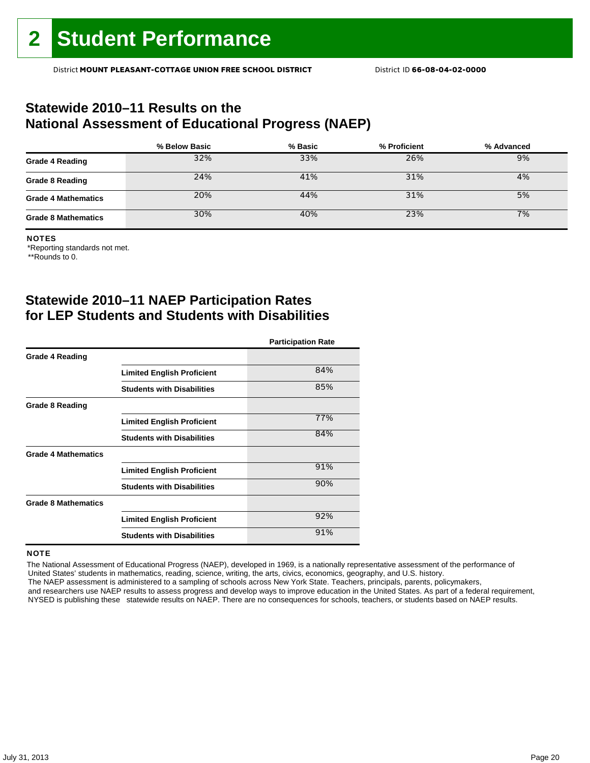### **Statewide 2010–11 Results on the National Assessment of Educational Progress (NAEP)**

|                            | % Below Basic | % Basic | % Proficient | % Advanced |
|----------------------------|---------------|---------|--------------|------------|
| <b>Grade 4 Reading</b>     | 32%           | 33%     | 26%          | 9%         |
| <b>Grade 8 Reading</b>     | 24%           | 41%     | 31%          | 4%         |
| <b>Grade 4 Mathematics</b> | 20%           | 44%     | 31%          | 5%         |
| <b>Grade 8 Mathematics</b> | 30%           | 40%     | 23%          | 7%         |

#### NOTES

\*Reporting standards not met.

\*\*Rounds to 0.

### **Statewide 2010–11 NAEP Participation Rates for LEP Students and Students with Disabilities**

|                            |                                   | <b>Participation Rate</b> |
|----------------------------|-----------------------------------|---------------------------|
| <b>Grade 4 Reading</b>     |                                   |                           |
|                            | <b>Limited English Proficient</b> | 84%                       |
|                            | <b>Students with Disabilities</b> | 85%                       |
| <b>Grade 8 Reading</b>     |                                   |                           |
|                            | <b>Limited English Proficient</b> | 77%                       |
|                            | <b>Students with Disabilities</b> | 84%                       |
| <b>Grade 4 Mathematics</b> |                                   |                           |
|                            | <b>Limited English Proficient</b> | 91%                       |
|                            | <b>Students with Disabilities</b> | 90%                       |
| <b>Grade 8 Mathematics</b> |                                   |                           |
|                            | <b>Limited English Proficient</b> | 92%                       |
|                            | <b>Students with Disabilities</b> | 91%                       |

#### **NOTE**

 The National Assessment of Educational Progress (NAEP), developed in 1969, is a nationally representative assessment of the performance of United States' students in mathematics, reading, science, writing, the arts, civics, economics, geography, and U.S. history. The NAEP assessment is administered to a sampling of schools across New York State. Teachers, principals, parents, policymakers,

 and researchers use NAEP results to assess progress and develop ways to improve education in the United States. As part of a federal requirement, NYSED is publishing these statewide results on NAEP. There are no consequences for schools, teachers, or students based on NAEP results.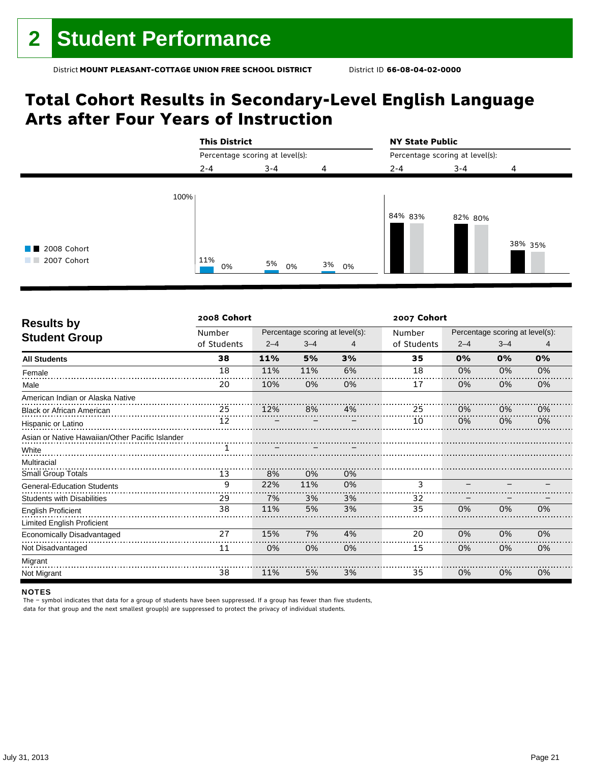## **Total Cohort Results in Secondary-Level English Language Arts after Four Years of Instruction**

|                                                                  | <b>This District</b>            |          |       | <b>NY State Public</b><br>Percentage scoring at level(s): |         |         |  |
|------------------------------------------------------------------|---------------------------------|----------|-------|-----------------------------------------------------------|---------|---------|--|
|                                                                  | Percentage scoring at level(s): |          |       |                                                           |         |         |  |
|                                                                  | $2 - 4$                         | $3 - 4$  | 4     | $2 - 4$                                                   | $3 - 4$ | 4       |  |
| 100%<br>2008 Cohort<br>a sa Tan<br>2007 Cohort<br><b>COLLEGE</b> | 11%<br>0%                       | 5%<br>0% | 3% 0% | 84% 83%                                                   | 82% 80% | 38% 35% |  |

| <b>Results by</b>                               | 2008 Cohort |         |                                 |    | 2007 Cohort |                                 |         |    |  |  |
|-------------------------------------------------|-------------|---------|---------------------------------|----|-------------|---------------------------------|---------|----|--|--|
|                                                 | Number      |         | Percentage scoring at level(s): |    | Number      | Percentage scoring at level(s): |         |    |  |  |
| <b>Student Group</b>                            | of Students | $2 - 4$ | $3 - 4$                         | 4  | of Students | $2 - 4$                         | $3 - 4$ | 4  |  |  |
| <b>All Students</b>                             | 38          | 11%     | 5%                              | 3% | 35          | 0%                              | 0%      | 0% |  |  |
| Female                                          | 18          | 11%     | 11%                             | 6% | 18          | 0%                              | 0%      | 0% |  |  |
| Male                                            | 20          | 10%     | 0%                              | 0% | 17          | 0%                              | 0%      | 0% |  |  |
| American Indian or Alaska Native                |             |         |                                 |    |             |                                 |         |    |  |  |
| <b>Black or African American</b>                | 25          | 12%     | 8%                              | 4% | 25          | 0%                              | 0%      | 0% |  |  |
| Hispanic or Latino                              | 12          |         |                                 |    | 10          | 0%                              | 0%      | 0% |  |  |
| Asian or Native Hawaiian/Other Pacific Islander |             |         |                                 |    |             |                                 |         |    |  |  |
| White                                           |             |         |                                 |    |             |                                 |         |    |  |  |
| Multiracial                                     |             |         |                                 |    |             |                                 |         |    |  |  |
| <b>Small Group Totals</b>                       | 13          | 8%      | 0%                              | 0% |             |                                 |         |    |  |  |
| <b>General-Education Students</b>               | 9           | 22%     | 11%                             | 0% | 3           |                                 |         |    |  |  |
| <b>Students with Disabilities</b>               | 29          | 7%      | 3%                              | 3% | 32          |                                 |         |    |  |  |
| <b>English Proficient</b>                       | 38          | 11%     | 5%                              | 3% | 35          | 0%                              | 0%      | 0% |  |  |
| <b>Limited English Proficient</b>               |             |         |                                 |    |             |                                 |         |    |  |  |
| Economically Disadvantaged                      | 27          | 15%     | 7%                              | 4% | 20          | 0%                              | 0%      | 0% |  |  |
| Not Disadvantaged                               | 11          | 0%      | 0%                              | 0% | 15          | 0%                              | 0%      | 0% |  |  |
| Migrant                                         |             |         |                                 |    |             |                                 |         |    |  |  |
| Not Migrant                                     | 38          | 11%     | 5%                              | 3% | 35          | 0%                              | 0%      | 0% |  |  |

#### NOTES

The – symbol indicates that data for a group of students have been suppressed. If a group has fewer than five students, data for that group and the next smallest group(s) are suppressed to protect the privacy of individual students.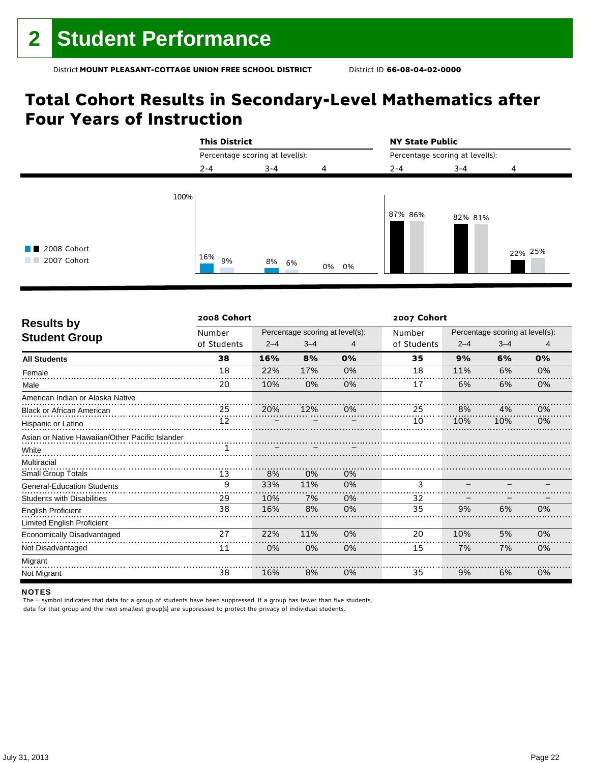## **Total Cohort Results in Secondary-Level Mathematics after Four Years of Instruction**

|                                       | <b>This District</b> |                                 |       | <b>NY State Public</b><br>Percentage scoring at level(s): |         |         |  |
|---------------------------------------|----------------------|---------------------------------|-------|-----------------------------------------------------------|---------|---------|--|
|                                       |                      | Percentage scoring at level(s): |       |                                                           |         |         |  |
|                                       | $2 - 4$              | $3 - 4$                         | 4     | $2 - 4$                                                   | $3 - 4$ | 4       |  |
| 2008 Cohort<br>a sa na<br>2007 Cohort | 100%<br>$16\%$ 9%    | 8% 6%                           | 0% 0% | 87% 86%                                                   | 82% 81% | 22% 25% |  |

| <b>Results by</b>                               | 2008 Cohort |         |                                 |    |             | 2007 Cohort |                                 |                |  |  |  |
|-------------------------------------------------|-------------|---------|---------------------------------|----|-------------|-------------|---------------------------------|----------------|--|--|--|
|                                                 | Number      |         | Percentage scoring at level(s): |    | Number      |             | Percentage scoring at level(s): |                |  |  |  |
| <b>Student Group</b>                            | of Students | $2 - 4$ | $3 - 4$                         | 4  | of Students | $2 - 4$     | $3 - 4$                         | $\overline{4}$ |  |  |  |
| <b>All Students</b>                             | 38          | 16%     | 8%                              | 0% | 35          | 9%          | 6%                              | 0%             |  |  |  |
| Female                                          | 18          | 22%     | 17%                             | 0% | 18          | 11%         | 6%                              | 0%             |  |  |  |
| Male                                            | 20          | 10%     | 0%                              | 0% | 17          | 6%          | 6%                              | 0%             |  |  |  |
| American Indian or Alaska Native                |             |         |                                 |    |             |             |                                 |                |  |  |  |
| <b>Black or African American</b>                | 25          | 20%     | 12%                             | 0% | 25          | 8%          | 4%                              | 0%             |  |  |  |
| Hispanic or Latino                              | 12          |         |                                 |    | 10          | 10%         | 10%                             | 0%             |  |  |  |
| Asian or Native Hawaiian/Other Pacific Islander |             |         |                                 |    |             |             |                                 |                |  |  |  |
| White                                           |             |         |                                 |    |             |             |                                 |                |  |  |  |
| Multiracial                                     |             |         |                                 |    |             |             |                                 |                |  |  |  |
| <b>Small Group Totals</b>                       | 13          | 8%      | 0%                              | 0% |             |             |                                 |                |  |  |  |
| <b>General-Education Students</b>               | 9           | 33%     | 11%                             | 0% | 3           |             |                                 |                |  |  |  |
| <b>Students with Disabilities</b>               | 29          | 10%     | 7%                              | 0% | 32          |             |                                 |                |  |  |  |
| <b>English Proficient</b>                       | 38          | 16%     | 8%                              | 0% | 35          | 9%          | 6%                              | 0%             |  |  |  |
| <b>Limited English Proficient</b>               |             |         |                                 |    |             |             |                                 |                |  |  |  |
| Economically Disadvantaged                      | 27          | 22%     | 11%                             | 0% | 20          | 10%         | 5%                              | 0%             |  |  |  |
| Not Disadvantaged                               | 11          | 0%      | 0%                              | 0% | 15          | 7%          | 7%                              | 0%             |  |  |  |
| Migrant                                         |             |         |                                 |    |             |             |                                 |                |  |  |  |
| Not Migrant                                     | 38          | 16%     | 8%                              | 0% | 35          | 9%          | 6%                              | 0%             |  |  |  |

#### NOTES

The – symbol indicates that data for a group of students have been suppressed. If a group has fewer than five students, data for that group and the next smallest group(s) are suppressed to protect the privacy of individual students.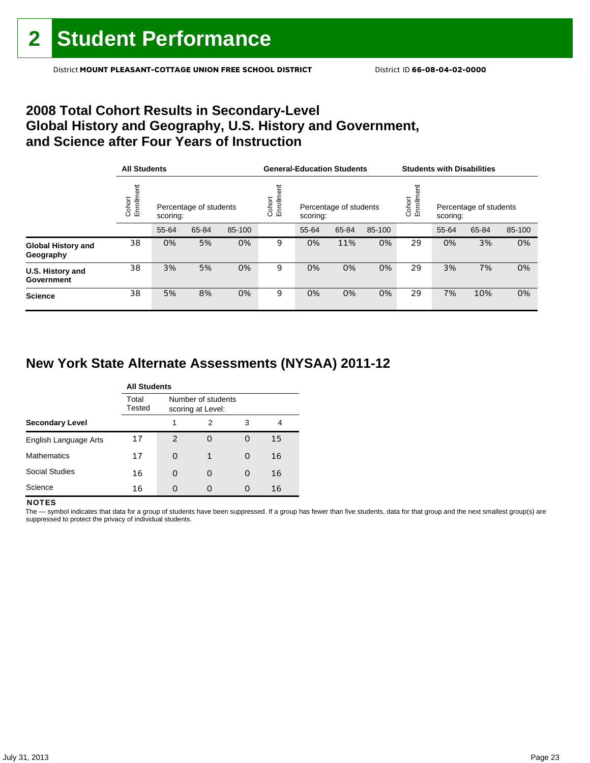### **2008 Total Cohort Results in Secondary-Level Global History and Geography, U.S. History and Government, and Science after Four Years of Instruction**

|                                        |                      | <b>All Students</b> |                        |        |                    | <b>General-Education Students</b>  |       |        | <b>Students with Disabilities</b> |                                                         |       |        |
|----------------------------------------|----------------------|---------------------|------------------------|--------|--------------------|------------------------------------|-------|--------|-----------------------------------|---------------------------------------------------------|-------|--------|
|                                        | Cohort<br>Enrollment | scoring:            | Percentage of students |        | Enrollme<br>Cohort | Percentage of students<br>scoring: |       |        |                                   | Cohort<br>Enrollm<br>Percentage of students<br>scoring: |       |        |
|                                        |                      | 55-64               | 65-84                  | 85-100 |                    | 55-64                              | 65-84 | 85-100 |                                   | 55-64                                                   | 65-84 | 85-100 |
| <b>Global History and</b><br>Geography | 38                   | 0%                  | 5%                     | 0%     | 9                  | 0%                                 | 11%   | 0%     | 29                                | 0%                                                      | 3%    | 0%     |
| U.S. History and<br>Government         | 38                   | 3%                  | 5%                     | 0%     | 9                  | 0%                                 | 0%    | 0%     | 29                                | 3%                                                      | 7%    | 0%     |
| <b>Science</b>                         | 38                   | 5%                  | 8%                     | 0%     | 9                  | 0%                                 | 0%    | 0%     | 29                                | 7%                                                      | 10%   | 0%     |

### **New York State Alternate Assessments (NYSAA) 2011-12**

|                        |                 | <b>All Students</b> |                                         |   |    |  |  |  |  |  |
|------------------------|-----------------|---------------------|-----------------------------------------|---|----|--|--|--|--|--|
|                        | Total<br>Tested |                     | Number of students<br>scoring at Level: |   |    |  |  |  |  |  |
| <b>Secondary Level</b> |                 | 1                   | 2                                       | 3 | 4  |  |  |  |  |  |
| English Language Arts  | 17              | $\mathcal{P}$       | 0                                       | O | 15 |  |  |  |  |  |
| <b>Mathematics</b>     | 17              | O                   | 1                                       | O | 16 |  |  |  |  |  |
| <b>Social Studies</b>  | 16              | O                   | O                                       | O | 16 |  |  |  |  |  |
| Science                | 16              |                     | O                                       | O | 16 |  |  |  |  |  |

#### **NOTES**

The - symbol indicates that data for a group of students have been suppressed. If a group has fewer than five students, data for that group and the next smallest group(s) are suppressed to protect the privacy of individual students.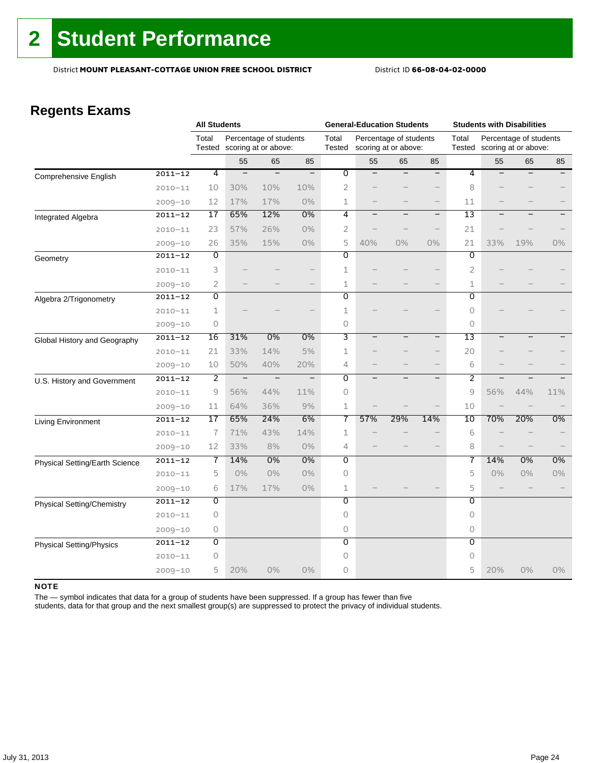### **Regents Exams**

|                                   |             | <b>All Students</b> |                          |                                                |                          | <b>General-Education Students</b> |                          |                                                |                          | <b>Students with Disabilities</b> |                             |                          |       |
|-----------------------------------|-------------|---------------------|--------------------------|------------------------------------------------|--------------------------|-----------------------------------|--------------------------|------------------------------------------------|--------------------------|-----------------------------------|-----------------------------|--------------------------|-------|
|                                   |             | Total<br>Tested     |                          | Percentage of students<br>scoring at or above: |                          | Total<br>Tested                   |                          | Percentage of students<br>scoring at or above: |                          | Total                             | Tested scoring at or above: | Percentage of students   |       |
|                                   |             |                     | 55                       | 65                                             | 85                       |                                   | 55                       | 65                                             | 85                       |                                   | 55                          | 65                       | 85    |
| Comprehensive English             | $2011 - 12$ | 4                   | $\qquad \qquad -$        | $\overline{\phantom{m}}$                       |                          | 0                                 |                          |                                                |                          | 4                                 |                             |                          |       |
|                                   | $2010 - 11$ | 10                  | 30%                      | 10%                                            | 10%                      | $\overline{2}$                    |                          |                                                |                          | 8                                 |                             |                          |       |
|                                   | $2009 - 10$ | 12                  | 17%                      | 17%                                            | 0%                       | 1                                 |                          |                                                | $\qquad \qquad -$        | 11                                |                             |                          |       |
| Integrated Algebra                | $2011 - 12$ | 17                  | 65%                      | 12%                                            | 0%                       | 4                                 | $\overline{\phantom{0}}$ | $\overline{\phantom{0}}$                       | $\qquad \qquad -$        | 13                                |                             | $\equiv$                 |       |
|                                   | $2010 - 11$ | 23                  | 57%                      | 26%                                            | 0%                       | $\overline{2}$                    |                          |                                                | $\qquad \qquad -$        | 21                                |                             |                          |       |
|                                   | $2009 - 10$ | 26                  | 35%                      | 15%                                            | 0%                       | 5                                 | 40%                      | 0%                                             | $0\%$                    | 21                                | 33%                         | 19%                      | 0%    |
| Geometry                          | $2011 - 12$ | Ō                   |                          |                                                |                          | 0                                 |                          |                                                |                          | $\overline{0}$                    |                             |                          |       |
|                                   | $2010 - 11$ | 3                   |                          |                                                |                          | 1                                 |                          |                                                |                          | 2                                 |                             |                          |       |
|                                   | $2009 - 10$ | $\overline{2}$      |                          |                                                |                          | $\mathbf 1$                       |                          |                                                | $-$                      | 1                                 |                             |                          |       |
| Algebra 2/Trigonometry            | $2011 - 12$ | $\Omega$            |                          |                                                |                          | 0                                 |                          |                                                |                          | 0                                 |                             |                          |       |
|                                   | $2010 - 11$ | 1                   |                          |                                                |                          | 1                                 |                          |                                                |                          | 0                                 |                             |                          |       |
|                                   | $2009 - 10$ | $\circ$             |                          |                                                |                          | 0                                 |                          |                                                |                          | 0                                 |                             |                          |       |
| Global History and Geography      | $2011 - 12$ | 16                  | 31%                      | 0%                                             | 0%                       | 3                                 | $\overline{\phantom{0}}$ |                                                | $\overline{\phantom{0}}$ | $\overline{13}$                   |                             |                          |       |
|                                   | $2010 - 11$ | 21                  | 33%                      | 14%                                            | 5%                       | $\mathbf 1$                       |                          |                                                | $\overline{\phantom{0}}$ | 20                                |                             |                          |       |
|                                   | $2009 - 10$ | 10                  | 50%                      | 40%                                            | 20%                      | $\overline{4}$                    |                          |                                                | $\qquad \qquad -$        | 6                                 |                             |                          |       |
| U.S. History and Government       | $2011 - 12$ | $\overline{2}$      | $\overline{\phantom{m}}$ | $\overline{\phantom{a}}$                       | $\overline{\phantom{m}}$ | $\overline{0}$                    | $\overline{\phantom{0}}$ |                                                | $\qquad \qquad -$        | 2                                 |                             | $\overline{\phantom{0}}$ |       |
|                                   | $2010 - 11$ | 9                   | 56%                      | 44%                                            | 11%                      | 0                                 |                          |                                                |                          | 9                                 | 56%                         | 44%                      | 11%   |
|                                   | $2009 - 10$ | 11                  | 64%                      | 36%                                            | 9%                       | $\mathbf 1$                       |                          |                                                |                          | 10                                |                             |                          |       |
| Living Environment                | $2011 - 12$ | 17                  | 65%                      | 24%                                            | 6%                       | 7                                 | 57%                      | 29%                                            | 14%                      | 10                                | 70%                         | 20%                      | 0%    |
|                                   | $2010 - 11$ | 7                   | 71%                      | 43%                                            | 14%                      | 1                                 |                          |                                                |                          | 6                                 |                             |                          |       |
|                                   | $2009 - 10$ | 12                  | 33%                      | 8%                                             | 0%                       | 4                                 |                          |                                                |                          | 8                                 |                             |                          |       |
| Physical Setting/Earth Science    | $2011 - 12$ | 7                   | 14%                      | 0%                                             | 0%                       | $\overline{0}$                    |                          |                                                |                          | 7                                 | 14%                         | 0%                       | 0%    |
|                                   | $2010 - 11$ | 5                   | 0%                       | 0%                                             | 0%                       | $\Omega$                          |                          |                                                |                          | 5                                 | $0\%$                       | 0%                       | $0\%$ |
|                                   | $2009 - 10$ | 6                   | 17%                      | 17%                                            | 0%                       | $\mathbf{1}$                      |                          |                                                |                          | 5                                 |                             |                          |       |
| <b>Physical Setting/Chemistry</b> | $2011 - 12$ | O                   |                          |                                                |                          | 0                                 |                          |                                                |                          | 0                                 |                             |                          |       |
|                                   | $2010 - 11$ | $\Omega$            |                          |                                                |                          | $\Omega$                          |                          |                                                |                          | 0                                 |                             |                          |       |
|                                   | $2009 - 10$ | 0                   |                          |                                                |                          | $\circ$                           |                          |                                                |                          | 0                                 |                             |                          |       |
| <b>Physical Setting/Physics</b>   | $2011 - 12$ | 0                   |                          |                                                |                          | $\overline{0}$                    |                          |                                                |                          | $\overline{0}$                    |                             |                          |       |
|                                   | $2010 - 11$ | 0                   |                          |                                                |                          | 0                                 |                          |                                                |                          | 0                                 |                             |                          |       |
|                                   | $2009 - 10$ | 5                   | 20%                      | $0\%$                                          | 0%                       | $\Omega$                          |                          |                                                |                          | 5                                 | 20%                         | 0%                       | $0\%$ |

#### NOTE

The — symbol indicates that data for a group of students have been suppressed. If a group has fewer than five

students, data for that group and the next smallest group(s) are suppressed to protect the privacy of individual students.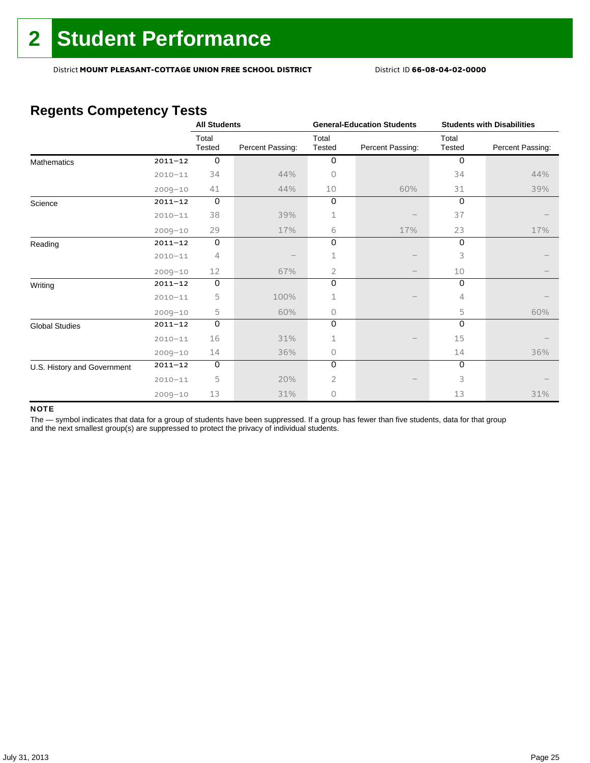### **Regents Competency Tests**

|                             |             | <b>All Students</b> |                  |                 | <b>General-Education Students</b> | <b>Students with Disabilities</b> |                  |  |
|-----------------------------|-------------|---------------------|------------------|-----------------|-----------------------------------|-----------------------------------|------------------|--|
|                             |             | Total<br>Tested     | Percent Passing: | Total<br>Tested | Percent Passing:                  | Total<br>Tested                   | Percent Passing: |  |
| <b>Mathematics</b>          | $2011 - 12$ | $\mathbf 0$         |                  | $\mathbf 0$     |                                   | $\mathbf 0$                       |                  |  |
|                             | $2010 - 11$ | 34                  | 44%              | 0               |                                   | 34                                | 44%              |  |
|                             | $2009 - 10$ | 41                  | 44%              | 10              | 60%                               | 31                                | 39%              |  |
| Science                     | $2011 - 12$ | $\mathbf 0$         |                  | 0               |                                   | $\Omega$                          |                  |  |
|                             | $2010 - 11$ | 38                  | 39%              | 1               |                                   | 37                                |                  |  |
|                             | $2009 - 10$ | 29                  | 17%              | 6               | 17%                               | 23                                | 17%              |  |
| Reading                     | $2011 - 12$ | $\mathsf O$         |                  | 0               |                                   | 0                                 |                  |  |
|                             | $2010 - 11$ | 4                   |                  | 1               |                                   | 3                                 |                  |  |
|                             | $2009 - 10$ | 12                  | 67%              | 2               |                                   | 10                                |                  |  |
| Writing                     | $2011 - 12$ | 0                   |                  | 0               |                                   | 0                                 |                  |  |
|                             | $2010 - 11$ | 5                   | 100%             | 1               |                                   | 4                                 |                  |  |
|                             | $2009 - 10$ | 5                   | 60%              | 0               |                                   | 5                                 | 60%              |  |
| <b>Global Studies</b>       | $2011 - 12$ | $\mathsf O$         |                  | 0               |                                   | $\Omega$                          |                  |  |
|                             | $2010 - 11$ | 16                  | 31%              | 1               |                                   | 15                                |                  |  |
|                             | $2009 - 10$ | 14                  | 36%              | 0               |                                   | 14                                | 36%              |  |
| U.S. History and Government | $2011 - 12$ | $\mathbf 0$         |                  | 0               |                                   | $\Omega$                          |                  |  |
|                             | $2010 - 11$ | 5                   | 20%              | 2               |                                   | 3                                 |                  |  |
|                             | $2009 - 10$ | 13                  | 31%              | 0               |                                   | 13                                | 31%              |  |

#### NOTE

The - symbol indicates that data for a group of students have been suppressed. If a group has fewer than five students, data for that group and the next smallest group(s) are suppressed to protect the privacy of individual students.